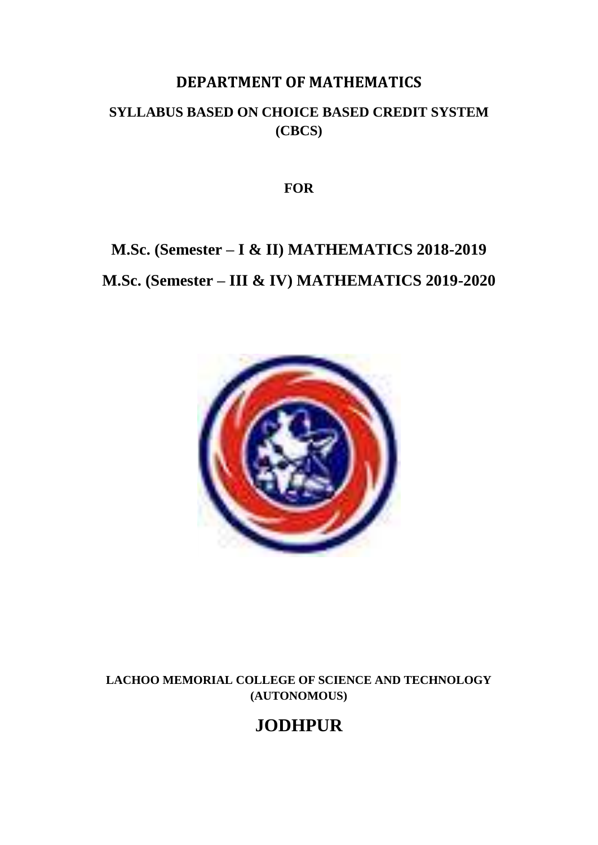# **DEPARTMENT OF MATHEMATICS**

# **SYLLABUS BASED ON CHOICE BASED CREDIT SYSTEM (CBCS)**

**FOR**

# **M.Sc. (Semester – I & II) MATHEMATICS 2018-2019 M.Sc. (Semester – III & IV) MATHEMATICS 2019-2020**



**LACHOO MEMORIAL COLLEGE OF SCIENCE AND TECHNOLOGY (AUTONOMOUS)**

# **JODHPUR**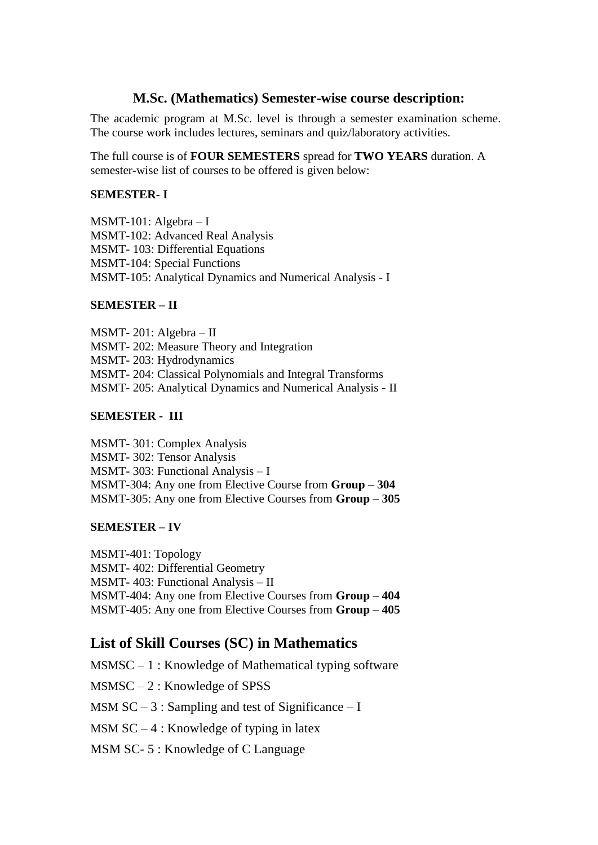## **M.Sc. (Mathematics) Semester-wise course description:**

The academic program at M.Sc. level is through a semester examination scheme. The course work includes lectures, seminars and quiz/laboratory activities.

The full course is of **FOUR SEMESTERS** spread for **TWO YEARS** duration. A semester-wise list of courses to be offered is given below:

### **SEMESTER- I**

MSMT-101: Algebra – I MSMT-102: Advanced Real Analysis MSMT- 103: Differential Equations MSMT-104: Special Functions MSMT-105: Analytical Dynamics and Numerical Analysis - I

### **SEMESTER – II**

MSMT- 201: Algebra – II MSMT- 202: Measure Theory and Integration MSMT- 203: Hydrodynamics MSMT- 204: Classical Polynomials and Integral Transforms MSMT- 205: Analytical Dynamics and Numerical Analysis - II

#### **SEMESTER - III**

MSMT- 301: Complex Analysis MSMT- 302: Tensor Analysis MSMT- 303: Functional Analysis – I MSMT-304: Any one from Elective Course from **Group – 304** MSMT-305: Any one from Elective Courses from **Group – 305**

#### **SEMESTER – IV**

MSMT-401: Topology MSMT- 402: Differential Geometry MSMT- 403: Functional Analysis – II MSMT-404: Any one from Elective Courses from **Group – 404** MSMT-405: Any one from Elective Courses from **Group – 405**

# **List of Skill Courses (SC) in Mathematics**

 $MSMSC - 1$ : Knowledge of Mathematical typing software MSMSC – 2 : Knowledge of SPSS MSM  $SC - 3$ : Sampling and test of Significance – I MSM  $SC - 4$ : Knowledge of typing in latex MSM SC- 5 : Knowledge of C Language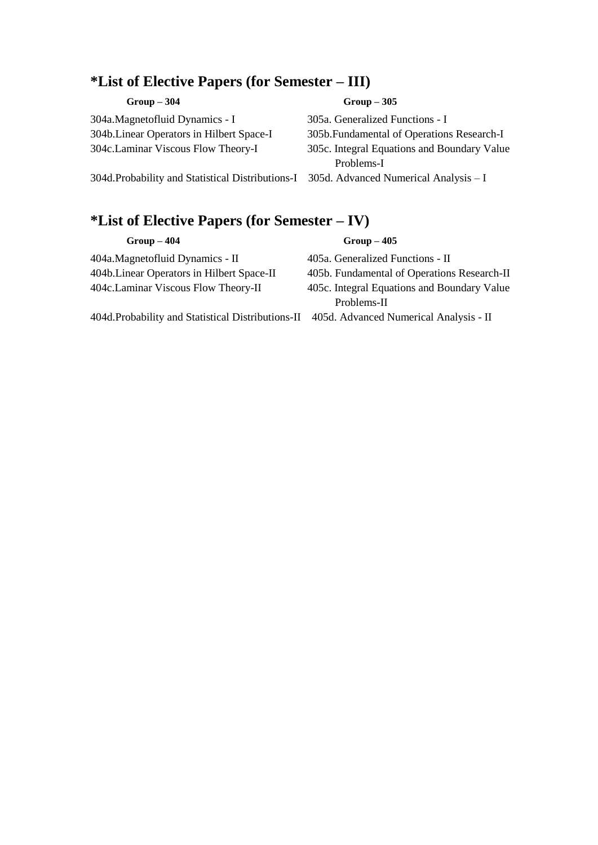# **\*List of Elective Papers (for Semester – III)**

| $Group-304$                                       | $Group-305$                                 |
|---------------------------------------------------|---------------------------------------------|
| 304a.Magnetofluid Dynamics - I                    | 305a. Generalized Functions - I             |
| 304b. Linear Operators in Hilbert Space-I         | 305b. Fundamental of Operations Research-I  |
| 304c.Laminar Viscous Flow Theory-I                | 305c. Integral Equations and Boundary Value |
|                                                   | Problems-I                                  |
| 304d. Probability and Statistical Distributions-I | 305d. Advanced Numerical Analysis $-I$      |
|                                                   |                                             |

# **\*List of Elective Papers (for Semester – IV)**

| $Group-404$                                                                               | $Group-405$                                 |
|-------------------------------------------------------------------------------------------|---------------------------------------------|
| 404a.Magnetofluid Dynamics - II                                                           | 405a. Generalized Functions - II            |
| 404b. Linear Operators in Hilbert Space-II                                                | 405b. Fundamental of Operations Research-II |
| 404c. Laminar Viscous Flow Theory-II                                                      | 405c. Integral Equations and Boundary Value |
|                                                                                           | Problems-II                                 |
| 404d. Probability and Statistical Distributions-II 405d. Advanced Numerical Analysis - II |                                             |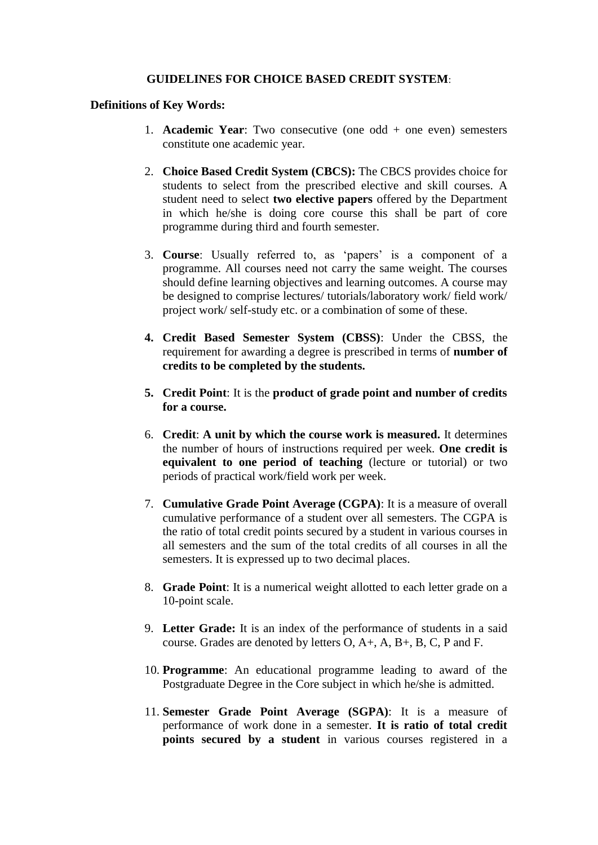#### **GUIDELINES FOR CHOICE BASED CREDIT SYSTEM**:

#### **Definitions of Key Words:**

- 1. **Academic Year**: Two consecutive (one odd + one even) semesters constitute one academic year.
- 2. **Choice Based Credit System (CBCS):** The CBCS provides choice for students to select from the prescribed elective and skill courses. A student need to select **two elective papers** offered by the Department in which he/she is doing core course this shall be part of core programme during third and fourth semester.
- 3. **Course**: Usually referred to, as 'papers' is a component of a programme. All courses need not carry the same weight. The courses should define learning objectives and learning outcomes. A course may be designed to comprise lectures/ tutorials/laboratory work/ field work/ project work/ self-study etc. or a combination of some of these.
- **4. Credit Based Semester System (CBSS)**: Under the CBSS, the requirement for awarding a degree is prescribed in terms of **number of credits to be completed by the students.**
- **5. Credit Point**: It is the **product of grade point and number of credits for a course.**
- 6. **Credit**: **A unit by which the course work is measured.** It determines the number of hours of instructions required per week. **One credit is equivalent to one period of teaching** (lecture or tutorial) or two periods of practical work/field work per week.
- 7. **Cumulative Grade Point Average (CGPA)**: It is a measure of overall cumulative performance of a student over all semesters. The CGPA is the ratio of total credit points secured by a student in various courses in all semesters and the sum of the total credits of all courses in all the semesters. It is expressed up to two decimal places.
- 8. **Grade Point**: It is a numerical weight allotted to each letter grade on a 10-point scale.
- 9. **Letter Grade:** It is an index of the performance of students in a said course. Grades are denoted by letters O, A+, A, B+, B, C, P and F.
- 10. **Programme**: An educational programme leading to award of the Postgraduate Degree in the Core subject in which he/she is admitted.
- 11. **Semester Grade Point Average (SGPA)**: It is a measure of performance of work done in a semester. **It is ratio of total credit points secured by a student** in various courses registered in a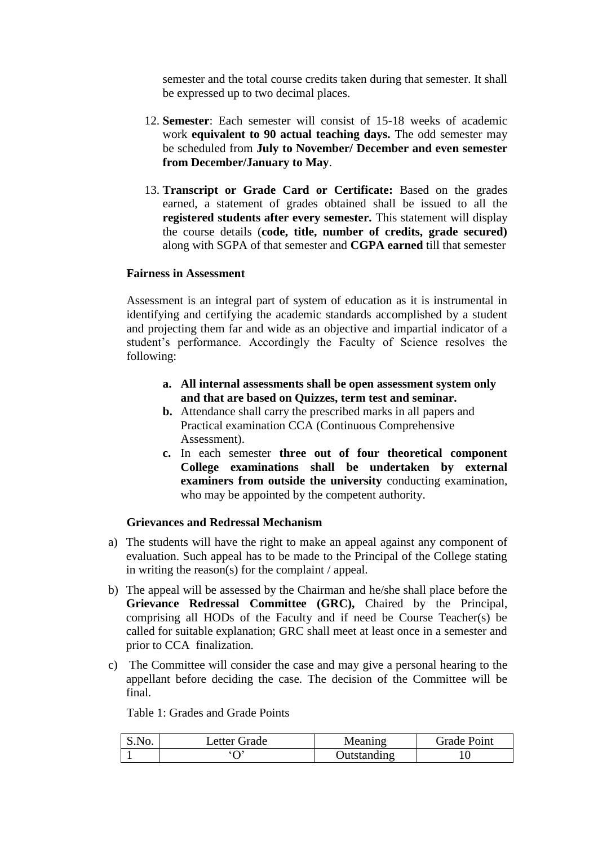semester and the total course credits taken during that semester. It shall be expressed up to two decimal places.

- 12. **Semester**: Each semester will consist of 15-18 weeks of academic work **equivalent to 90 actual teaching days.** The odd semester may be scheduled from **July to November/ December and even semester from December/January to May**.
- 13. **Transcript or Grade Card or Certificate:** Based on the grades earned, a statement of grades obtained shall be issued to all the **registered students after every semester.** This statement will display the course details (**code, title, number of credits, grade secured)** along with SGPA of that semester and **CGPA earned** till that semester

#### **Fairness in Assessment**

Assessment is an integral part of system of education as it is instrumental in identifying and certifying the academic standards accomplished by a student and projecting them far and wide as an objective and impartial indicator of a student's performance. Accordingly the Faculty of Science resolves the following:

- **a. All internal assessments shall be open assessment system only and that are based on Quizzes, term test and seminar.**
- **b.** Attendance shall carry the prescribed marks in all papers and Practical examination CCA (Continuous Comprehensive Assessment).
- **c.** In each semester **three out of four theoretical component College examinations shall be undertaken by external examiners from outside the university** conducting examination, who may be appointed by the competent authority.

#### **Grievances and Redressal Mechanism**

- a) The students will have the right to make an appeal against any component of evaluation. Such appeal has to be made to the Principal of the College stating in writing the reason(s) for the complaint / appeal.
- b) The appeal will be assessed by the Chairman and he/she shall place before the **Grievance Redressal Committee (GRC),** Chaired by the Principal, comprising all HODs of the Faculty and if need be Course Teacher(s) be called for suitable explanation; GRC shall meet at least once in a semester and prior to CCA finalization.
- c) The Committee will consider the case and may give a personal hearing to the appellant before deciding the case. The decision of the Committee will be final.

Table 1: Grades and Grade Points

| S.No. | Letter Grade | <b>Meaning</b> | <b>Grade Point</b> |
|-------|--------------|----------------|--------------------|
|       |              | Outstanding    | 10                 |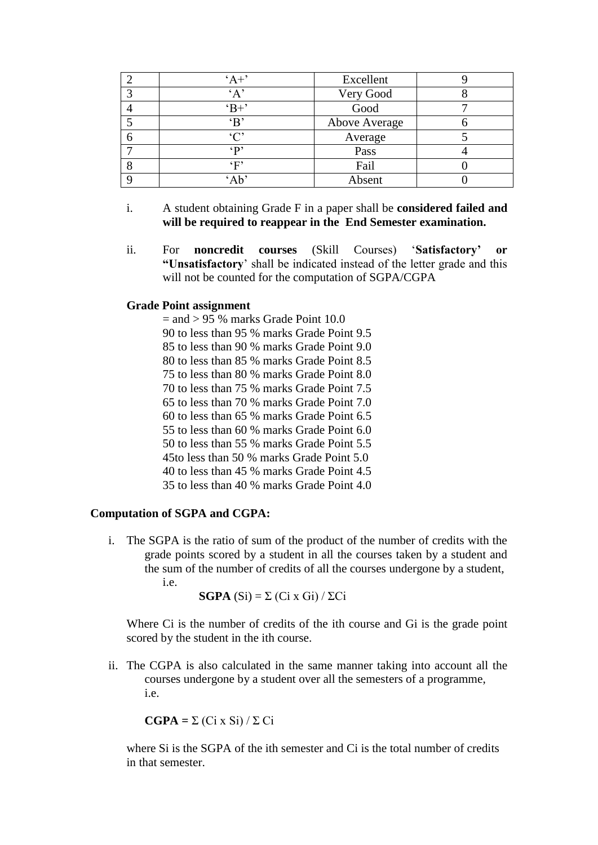|   | $A +$         | Excellent     |  |
|---|---------------|---------------|--|
| 3 | A             | Very Good     |  |
|   | $B+$          | Good          |  |
|   | $\mathbf{B}$  | Above Average |  |
| 6 | $\mathcal{C}$ | Average       |  |
| − | $\Omega$      | Pass          |  |
| 8 | ٬ϝ,           | Fail          |  |
|   | $^{\circ}$ Ab | Absent        |  |

- i. A student obtaining Grade F in a paper shall be **considered failed and will be required to reappear in the End Semester examination.**
- ii. For **noncredit courses** (Skill Courses) '**Satisfactory' or "Unsatisfactory**' shall be indicated instead of the letter grade and this will not be counted for the computation of SGPA/CGPA

#### **Grade Point assignment**

 $=$  and  $> 95$  % marks Grade Point 10.0. 90 to less than 95 % marks Grade Point 9.5 85 to less than 90 % marks Grade Point 9.0 80 to less than 85 % marks Grade Point 8.5 75 to less than 80 % marks Grade Point 8.0 70 to less than 75 % marks Grade Point 7.5 65 to less than 70 % marks Grade Point 7.0 60 to less than 65 % marks Grade Point 6.5 55 to less than 60 % marks Grade Point 6.0 50 to less than 55 % marks Grade Point 5.5 45to less than 50 % marks Grade Point 5.0 40 to less than 45 % marks Grade Point 4.5 35 to less than 40 % marks Grade Point 4.0

#### **Computation of SGPA and CGPA:**

i. The SGPA is the ratio of sum of the product of the number of credits with the grade points scored by a student in all the courses taken by a student and the sum of the number of credits of all the courses undergone by a student, i.e.

**SGPA**  $(Si) = \sum (Ci \times Gi) / \sum Ci$ 

Where Ci is the number of credits of the ith course and Gi is the grade point scored by the student in the ith course.

ii. The CGPA is also calculated in the same manner taking into account all the courses undergone by a student over all the semesters of a programme, i.e.

$$
CGPA = \Sigma (Ci \times Si) / \Sigma Ci
$$

where Si is the SGPA of the ith semester and Ci is the total number of credits in that semester.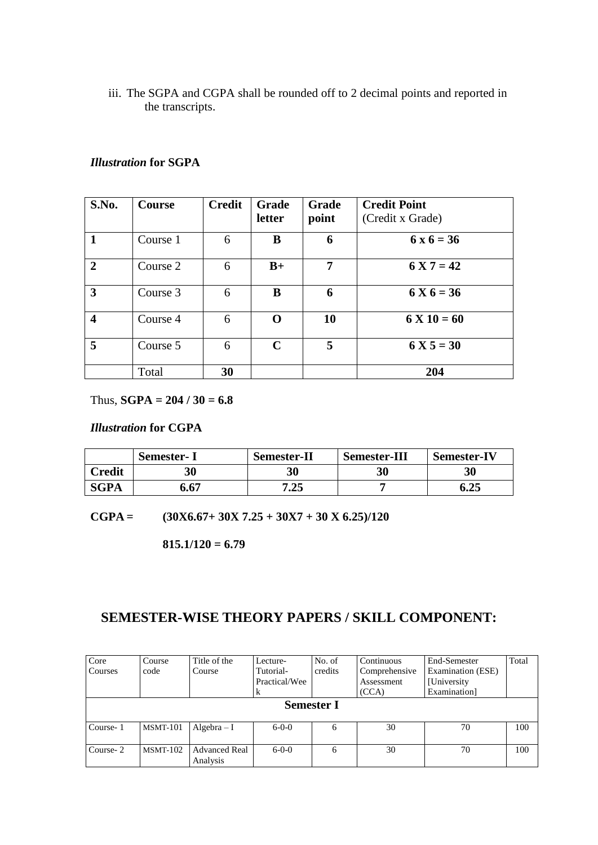iii. The SGPA and CGPA shall be rounded off to 2 decimal points and reported in the transcripts.

### *Illustration* **for SGPA**

| S.No.        | Course   | <b>Credit</b> | <b>Grade</b><br>letter | <b>Grade</b><br>point | <b>Credit Point</b><br>(Credit x Grade) |
|--------------|----------|---------------|------------------------|-----------------------|-----------------------------------------|
| $\mathbf{1}$ | Course 1 | 6             | B                      | 6                     | $6x6 = 36$                              |
| $\mathbf{2}$ | Course 2 | 6             | $B+$                   | 7                     | $6 X 7 = 42$                            |
| 3            | Course 3 | 6             | B                      | 6                     | $6 X 6 = 36$                            |
| 4            | Course 4 | 6             | ∩                      | 10                    | $6 X 10 = 60$                           |
| 5            | Course 5 | 6             | $\mathbf C$            | 5                     | $6 X 5 = 30$                            |
|              | Total    | 30            |                        |                       | 204                                     |

Thus,  $SGPA = 204 / 30 = 6.8$ 

### *Illustration* **for CGPA**

|               | <b>Semester-I</b> | <b>Semester-II</b> | <b>Semester-III</b> | <b>Semester-IV</b> |
|---------------|-------------------|--------------------|---------------------|--------------------|
| <b>Credit</b> | 30                | 30                 | 30                  | 30                 |
| <b>SGPA</b>   | 6.67              | 7.25               |                     | 6.25               |

**CGPA = (30X6.67+ 30X 7.25 + 30X7 + 30 X 6.25)/120**

**815.1/120 = 6.79**

# **SEMESTER-WISE THEORY PAPERS / SKILL COMPONENT:**

| Core     | Course                                                                  | Title of the                     | Lecture-      | No. of  | Continuous    | End-Semester      | Total |
|----------|-------------------------------------------------------------------------|----------------------------------|---------------|---------|---------------|-------------------|-------|
| Courses  | code                                                                    | Course                           | Tutorial-     | credits | Comprehensive | Examination (ESE) |       |
|          |                                                                         |                                  | Practical/Wee |         | Assessment    | [University]      |       |
|          |                                                                         |                                  | ĸ             |         | (CCA)         | Examination]      |       |
|          | <b>Semester I</b>                                                       |                                  |               |         |               |                   |       |
| Course-1 | 30<br>70<br>100<br><b>MSMT-101</b><br>$Algebra - I$<br>$6 - 0 - 0$<br>6 |                                  |               |         |               |                   |       |
| Course-2 | $MSMT-102$                                                              | <b>Advanced Real</b><br>Analysis | $6 - 0 - 0$   | 6       | 30            | 70                | 100   |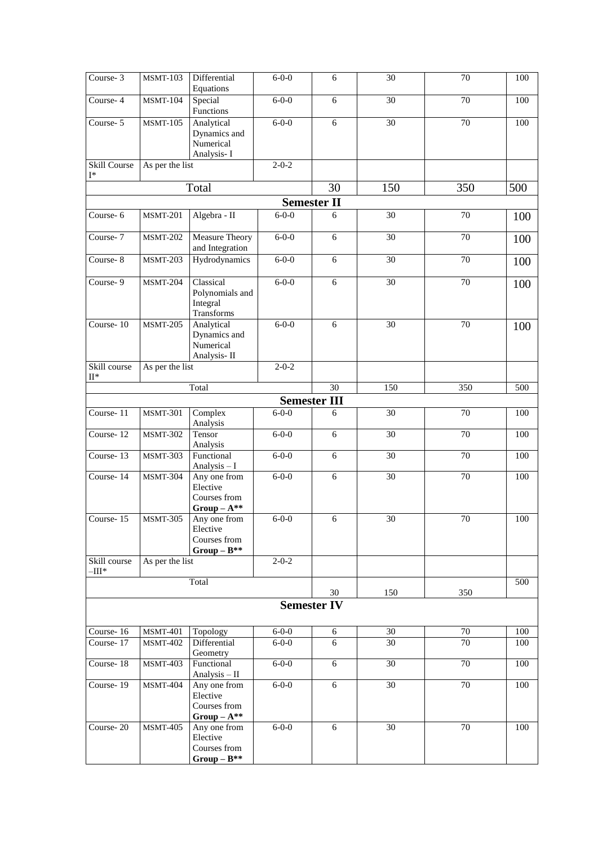| Course-3                        | <b>MSMT-103</b> | Differential<br>Equations                                    | $6 - 0 - 0$ | 6                   | 30              | 70              | 100 |
|---------------------------------|-----------------|--------------------------------------------------------------|-------------|---------------------|-----------------|-----------------|-----|
| Course-4                        | <b>MSMT-104</b> | Special<br>Functions                                         | $6-0-0$     | 6                   | 30              | 70              | 100 |
| Course-5                        | <b>MSMT-105</b> | Analytical<br>Dynamics and<br>Numerical<br>Analysis-I        | $6 - 0 - 0$ | 6                   | $\overline{30}$ | $\overline{70}$ | 100 |
| Skill Course<br>I*              | As per the list |                                                              | $2 - 0 - 2$ |                     |                 |                 |     |
|                                 |                 | Total                                                        |             | 30                  | 150             | 350             | 500 |
|                                 |                 |                                                              |             | <b>Semester II</b>  |                 |                 |     |
| Course-6                        | <b>MSMT-201</b> | Algebra - II                                                 | $6 - 0 - 0$ | 6                   | 30              | 70              | 100 |
| Course- $7$                     | <b>MSMT-202</b> | <b>Measure Theory</b><br>and Integration                     | $6 - 0 - 0$ | 6                   | $\overline{30}$ | $\overline{70}$ | 100 |
| Course-8                        | MSMT-203        | Hydrodynamics                                                | $6 - 0 - 0$ | $\sqrt{6}$          | 30              | 70              | 100 |
| Course-9                        | <b>MSMT-204</b> | Classical<br>Polynomials and<br>Integral<br>Transforms       | $6 - 0 - 0$ | 6                   | $\overline{30}$ | $\overline{70}$ | 100 |
| Course-10                       | <b>MSMT-205</b> | Analytical<br>Dynamics and<br>Numerical<br>Analysis-II       | $6 - 0 - 0$ | 6                   | $\overline{30}$ | $\overline{70}$ | 100 |
| Skill course<br>$\mathrm{II}^*$ | As per the list |                                                              | $2 - 0 - 2$ |                     |                 |                 |     |
|                                 |                 | Total                                                        |             | $\overline{30}$     | 150             | 350             | 500 |
|                                 |                 |                                                              |             | <b>Semester III</b> |                 |                 |     |
| Course-11                       | <b>MSMT-301</b> | Complex<br>Analysis                                          | $6 - 0 - 0$ | 6                   | 30              | 70              | 100 |
| Course-12                       | <b>MSMT-302</b> | Tensor<br>Analysis                                           | $6 - 0 - 0$ | $\sqrt{6}$          | 30              | 70              | 100 |
| Course-13                       | <b>MSMT-303</b> | Functional<br>Analysis - I                                   | $6 - 0 - 0$ | 6                   | $\overline{30}$ | 70              | 100 |
| Course-14                       | <b>MSMT-304</b> | Any one from<br>Elective<br>Courses from<br>$Group-A^{**}$   | $6 - 0 - 0$ | $\sqrt{6}$          | 30              | 70              | 100 |
| Course-15                       | <b>MSMT-305</b> | Any one from<br>Elective<br>Courses from<br>$Group - B^{**}$ | $6 - 0 - 0$ | $\sqrt{6}$          | 30              | 70              | 100 |
| Skill course<br>$-III^*$        | As per the list |                                                              | $2 - 0 - 2$ |                     |                 |                 |     |
|                                 |                 | Total                                                        |             | 30                  | 150             | 350             | 500 |
|                                 |                 |                                                              |             | <b>Semester IV</b>  |                 |                 |     |
| Course-16                       | <b>MSMT-401</b> | Topology                                                     | $6 - 0 - 0$ | 6                   | 30              | 70              | 100 |
| Course-17                       | <b>MSMT-402</b> | Differential<br>Geometry                                     | $6 - 0 - 0$ | 6                   | 30              | 70              | 100 |
| Course-18                       | <b>MSMT-403</b> | Functional<br>Analysis - II                                  | $6 - 0 - 0$ | $6\,$               | 30              | 70              | 100 |
| Course-19                       | <b>MSMT-404</b> | Any one from<br>Elective<br>Courses from<br>$Group-A^{**}$   | $6 - 0 - 0$ | $\overline{6}$      | $\overline{30}$ | $\overline{70}$ | 100 |
| Course-20                       | <b>MSMT-405</b> | Any one from<br>Elective<br>Courses from<br>$Group-B^{**}$   | $6 - 0 - 0$ | $\overline{6}$      | $\overline{30}$ | $\overline{70}$ | 100 |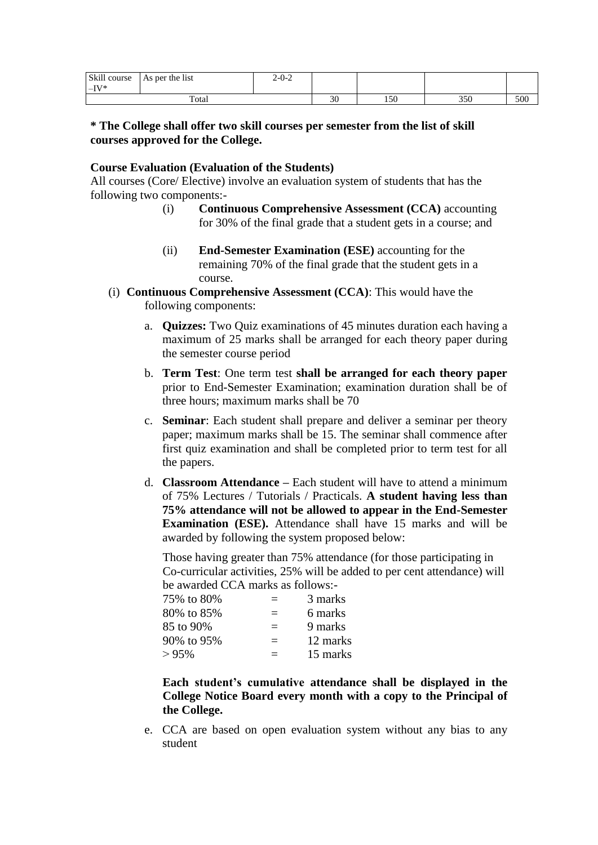| Skill course<br>$-IV^*$ | $\cdot$<br>As per the list | $2 - 0 - 2$ |          |     |     |     |
|-------------------------|----------------------------|-------------|----------|-----|-----|-----|
|                         | Total                      |             | GΩ<br>υc | 150 | 350 | 500 |

### **\* The College shall offer two skill courses per semester from the list of skill courses approved for the College.**

#### **Course Evaluation (Evaluation of the Students)**

All courses (Core/ Elective) involve an evaluation system of students that has the following two components:-

- (i) **Continuous Comprehensive Assessment (CCA)** accounting for 30% of the final grade that a student gets in a course; and
- (ii) **End-Semester Examination (ESE)** accounting for the remaining 70% of the final grade that the student gets in a course.
- (i) **Continuous Comprehensive Assessment (CCA)**: This would have the following components:
	- a. **Quizzes:** Two Quiz examinations of 45 minutes duration each having a maximum of 25 marks shall be arranged for each theory paper during the semester course period
	- b. **Term Test**: One term test **shall be arranged for each theory paper** prior to End-Semester Examination; examination duration shall be of three hours; maximum marks shall be 70
	- c. **Seminar**: Each student shall prepare and deliver a seminar per theory paper; maximum marks shall be 15. The seminar shall commence after first quiz examination and shall be completed prior to term test for all the papers.
	- d. **Classroom Attendance –** Each student will have to attend a minimum of 75% Lectures / Tutorials / Practicals. **A student having less than 75% attendance will not be allowed to appear in the End-Semester Examination (ESE).** Attendance shall have 15 marks and will be awarded by following the system proposed below:

Those having greater than 75% attendance (for those participating in Co-curricular activities, 25% will be added to per cent attendance) will be awarded CCA marks as follows:-

| 75% to 80% |          | 3 marks  |
|------------|----------|----------|
| 80% to 85% | $\equiv$ | 6 marks  |
| 85 to 90%  | $=$      | 9 marks  |
| 90% to 95% | $\equiv$ | 12 marks |
| >95%       | —        | 15 marks |

**Each student's cumulative attendance shall be displayed in the College Notice Board every month with a copy to the Principal of the College.**

e. CCA are based on open evaluation system without any bias to any student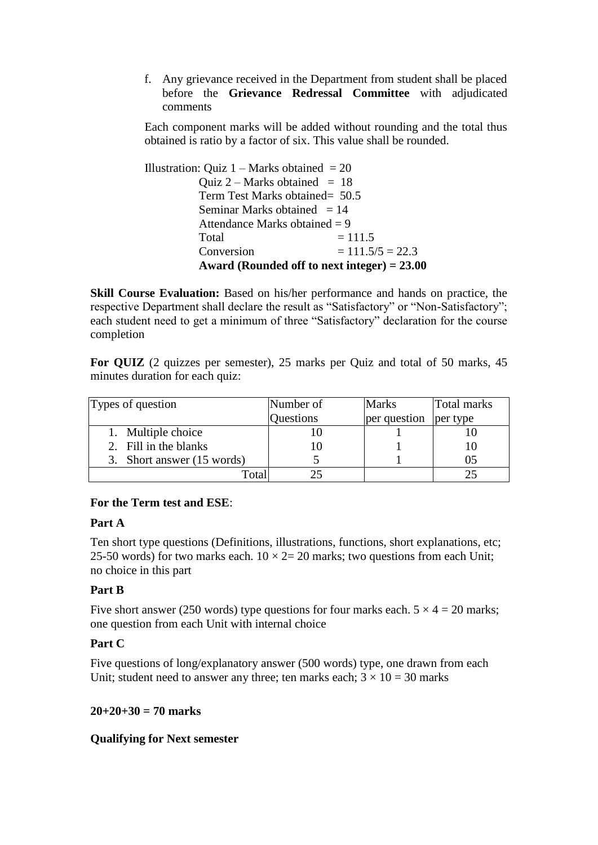f. Any grievance received in the Department from student shall be placed before the **Grievance Redressal Committee** with adjudicated comments

Each component marks will be added without rounding and the total thus obtained is ratio by a factor of six. This value shall be rounded.

| Illustration: Quiz $1 -$ Marks obtained = 20  |                    |  |  |  |
|-----------------------------------------------|--------------------|--|--|--|
| Quiz 2 – Marks obtained $= 18$                |                    |  |  |  |
| Term Test Marks obtained = 50.5               |                    |  |  |  |
| Seminar Marks obtained $= 14$                 |                    |  |  |  |
| Attendance Marks obtained $= 9$               |                    |  |  |  |
| Total                                         | $= 111.5$          |  |  |  |
| Conversion                                    | $= 111.5/5 = 22.3$ |  |  |  |
| Award (Rounded off to next integer) $= 23.00$ |                    |  |  |  |

**Skill Course Evaluation:** Based on his/her performance and hands on practice, the respective Department shall declare the result as "Satisfactory" or "Non-Satisfactory"; each student need to get a minimum of three "Satisfactory" declaration for the course completion

**For QUIZ** (2 quizzes per semester), 25 marks per Quiz and total of 50 marks, 45 minutes duration for each quiz:

| Types of question          | Number of | <b>Marks</b> | Total marks |
|----------------------------|-----------|--------------|-------------|
|                            | Questions | per question | per type    |
| 1. Multiple choice         |           |              |             |
| 2. Fill in the blanks      |           |              |             |
| 3. Short answer (15 words) |           |              | 05          |
| $\mathbf{r}_{\text{otal}}$ |           |              |             |

#### **For the Term test and ESE**:

#### **Part A**

Ten short type questions (Definitions, illustrations, functions, short explanations, etc; 25-50 words) for two marks each.  $10 \times 2 = 20$  marks; two questions from each Unit; no choice in this part

### **Part B**

Five short answer (250 words) type questions for four marks each.  $5 \times 4 = 20$  marks; one question from each Unit with internal choice

### **Part C**

Five questions of long/explanatory answer (500 words) type, one drawn from each Unit; student need to answer any three; ten marks each;  $3 \times 10 = 30$  marks

#### **20+20+30 = 70 marks**

#### **Qualifying for Next semester**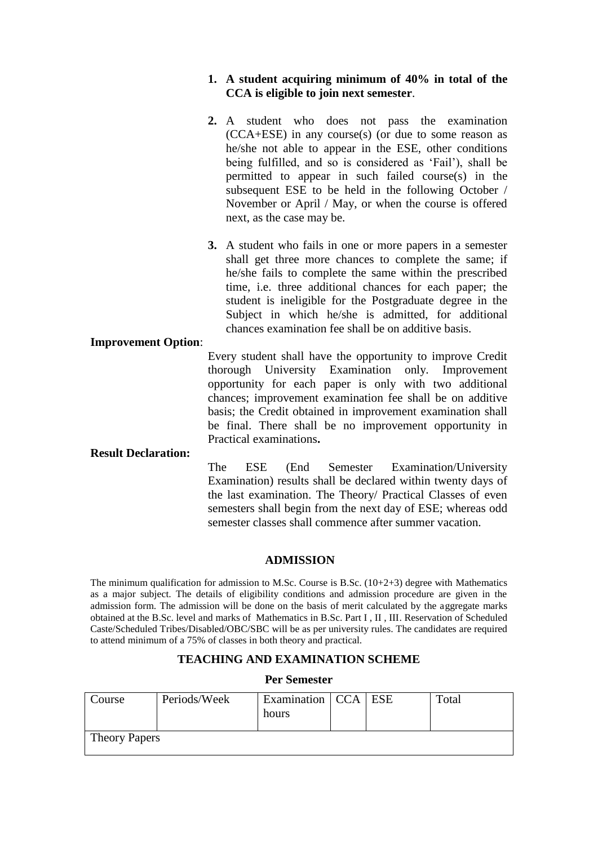### **1. A student acquiring minimum of 40% in total of the CCA is eligible to join next semester**.

- **2.** A student who does not pass the examination (CCA+ESE) in any course(s) (or due to some reason as he/she not able to appear in the ESE, other conditions being fulfilled, and so is considered as 'Fail'), shall be permitted to appear in such failed course(s) in the subsequent ESE to be held in the following October / November or April / May, or when the course is offered next, as the case may be.
- **3.** A student who fails in one or more papers in a semester shall get three more chances to complete the same; if he/she fails to complete the same within the prescribed time, i.e. three additional chances for each paper; the student is ineligible for the Postgraduate degree in the Subject in which he/she is admitted, for additional chances examination fee shall be on additive basis.

#### **Improvement Option**:

Every student shall have the opportunity to improve Credit thorough University Examination only. Improvement opportunity for each paper is only with two additional chances; improvement examination fee shall be on additive basis; the Credit obtained in improvement examination shall be final. There shall be no improvement opportunity in Practical examinations**.**

#### **Result Declaration:**

The ESE (End Semester Examination/University Examination) results shall be declared within twenty days of the last examination. The Theory/ Practical Classes of even semesters shall begin from the next day of ESE; whereas odd semester classes shall commence after summer vacation.

#### **ADMISSION**

The minimum qualification for admission to M.Sc. Course is B.Sc.  $(10+2+3)$  degree with Mathematics as a major subject. The details of eligibility conditions and admission procedure are given in the admission form. The admission will be done on the basis of merit calculated by the aggregate marks obtained at the B.Sc. level and marks of Mathematics in B.Sc. Part I , II , III. Reservation of Scheduled Caste/Scheduled Tribes/Disabled/OBC/SBC will be as per university rules. The candidates are required to attend minimum of a 75% of classes in both theory and practical.

#### **TEACHING AND EXAMINATION SCHEME**

#### **Per Semester**

| Course               | Periods/Week | Examination   CCA   ESE<br>hours |  |  | Total |
|----------------------|--------------|----------------------------------|--|--|-------|
| <b>Theory Papers</b> |              |                                  |  |  |       |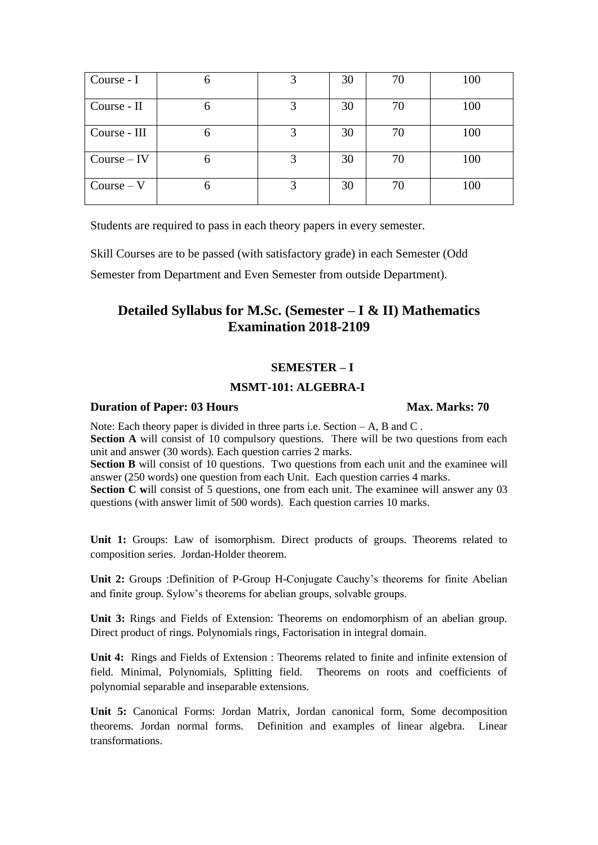| Course - I    |   | 3 | 30 | 70 | 100 |
|---------------|---|---|----|----|-----|
| Course - II   | h |   | 30 | 70 | 100 |
| Course - III  |   |   | 30 | 70 | 100 |
| $Course - IV$ | n |   | 30 | 70 | 100 |
| $Course - V$  |   | 3 | 30 | 70 | 100 |

Students are required to pass in each theory papers in every semester.

Skill Courses are to be passed (with satisfactory grade) in each Semester (Odd

Semester from Department and Even Semester from outside Department).

# **Detailed Syllabus for M.Sc. (Semester – I & II) Mathematics Examination 2018-2109**

#### **SEMESTER – I**

### **MSMT-101: ALGEBRA-I**

#### **Duration of Paper: 03 Hours Max. Marks: 70**

Note: Each theory paper is divided in three parts i.e. Section – A, B and C.

**Section A** will consist of 10 compulsory questions. There will be two questions from each unit and answer (30 words). Each question carries 2 marks.

**Section B** will consist of 10 questions. Two questions from each unit and the examinee will answer (250 words) one question from each Unit. Each question carries 4 marks.

**Section C** will consist of 5 questions, one from each unit. The examinee will answer any 03 questions (with answer limit of 500 words). Each question carries 10 marks.

**Unit 1:** Groups: Law of isomorphism. Direct products of groups. Theorems related to composition series. Jordan-Holder theorem.

**Unit 2:** Groups :Definition of P-Group H-Conjugate Cauchy's theorems for finite Abelian and finite group. Sylow's theorems for abelian groups, solvable groups.

Unit 3: Rings and Fields of Extension: Theorems on endomorphism of an abelian group. Direct product of rings. Polynomials rings, Factorisation in integral domain.

**Unit 4:** Rings and Fields of Extension : Theorems related to finite and infinite extension of field. Minimal, Polynomials, Splitting field. Theorems on roots and coefficients of polynomial separable and inseparable extensions.

**Unit 5:** Canonical Forms: Jordan Matrix, Jordan canonical form, Some decomposition theorems. Jordan normal forms. Definition and examples of linear algebra. Linear transformations.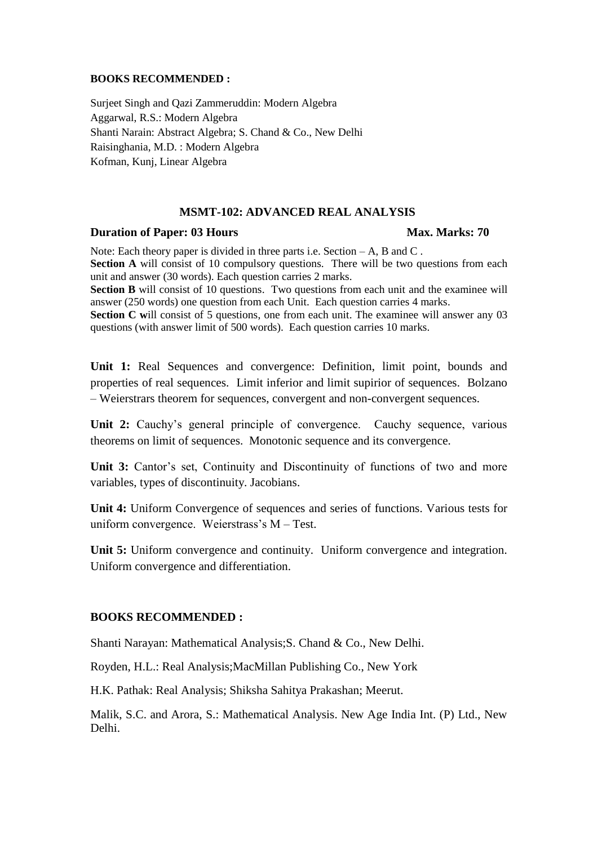#### **BOOKS RECOMMENDED :**

Surjeet Singh and Qazi Zammeruddin: Modern Algebra Aggarwal, R.S.: Modern Algebra Shanti Narain: Abstract Algebra; S. Chand & Co., New Delhi Raisinghania, M.D. : Modern Algebra Kofman, Kunj, Linear Algebra

#### **MSMT-102: ADVANCED REAL ANALYSIS**

#### **Duration of Paper: 03 Hours Max. Marks: 70**

Note: Each theory paper is divided in three parts i.e. Section – A, B and C. **Section A** will consist of 10 compulsory questions. There will be two questions from each unit and answer (30 words). Each question carries 2 marks.

**Section B** will consist of 10 questions. Two questions from each unit and the examinee will answer (250 words) one question from each Unit. Each question carries 4 marks.

**Section C** will consist of 5 questions, one from each unit. The examinee will answer any 03 questions (with answer limit of 500 words). Each question carries 10 marks.

**Unit 1:** Real Sequences and convergence: Definition, limit point, bounds and properties of real sequences. Limit inferior and limit supirior of sequences. Bolzano – Weierstrars theorem for sequences, convergent and non-convergent sequences.

**Unit 2:** Cauchy's general principle of convergence. Cauchy sequence, various theorems on limit of sequences. Monotonic sequence and its convergence.

Unit 3: Cantor's set, Continuity and Discontinuity of functions of two and more variables, types of discontinuity. Jacobians.

**Unit 4:** Uniform Convergence of sequences and series of functions. Various tests for uniform convergence. Weierstrass's M – Test.

**Unit 5:** Uniform convergence and continuity. Uniform convergence and integration. Uniform convergence and differentiation.

#### **BOOKS RECOMMENDED :**

Shanti Narayan: Mathematical Analysis;S. Chand & Co., New Delhi.

Royden, H.L.: Real Analysis;MacMillan Publishing Co., New York

H.K. Pathak: Real Analysis; Shiksha Sahitya Prakashan; Meerut.

Malik, S.C. and Arora, S.: Mathematical Analysis. New Age India Int. (P) Ltd., New Delhi.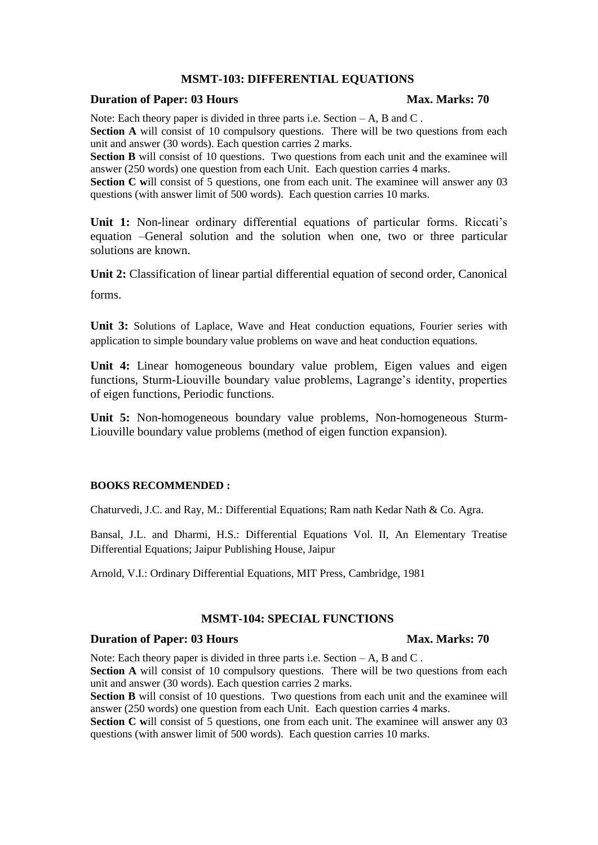#### **MSMT-103: DIFFERENTIAL EQUATIONS**

#### **Duration of Paper: 03 Hours Max. Marks: 70**

Note: Each theory paper is divided in three parts i.e. Section – A, B and C.

**Section A** will consist of 10 compulsory questions. There will be two questions from each unit and answer (30 words). Each question carries 2 marks.

**Section B** will consist of 10 questions. Two questions from each unit and the examinee will answer (250 words) one question from each Unit. Each question carries 4 marks.

**Section C** will consist of 5 questions, one from each unit. The examinee will answer any 03 questions (with answer limit of 500 words). Each question carries 10 marks.

**Unit 1:** Non-linear ordinary differential equations of particular forms. Riccati's equation –General solution and the solution when one, two or three particular solutions are known.

**Unit 2:** Classification of linear partial differential equation of second order, Canonical

forms.

**Unit 3:** Solutions of Laplace, Wave and Heat conduction equations, Fourier series with application to simple boundary value problems on wave and heat conduction equations.

**Unit 4:** Linear homogeneous boundary value problem, Eigen values and eigen functions, Sturm-Liouville boundary value problems, Lagrange's identity, properties of eigen functions, Periodic functions.

**Unit 5:** Non-homogeneous boundary value problems, Non-homogeneous Sturm-Liouville boundary value problems (method of eigen function expansion).

#### **BOOKS RECOMMENDED :**

Chaturvedi, J.C. and Ray, M.: Differential Equations; Ram nath Kedar Nath & Co. Agra.

Bansal, J.L. and Dharmi, H.S.: Differential Equations Vol. II, An Elementary Treatise Differential Equations; Jaipur Publishing House, Jaipur

Arnold, V.I.: Ordinary Differential Equations, MIT Press, Cambridge, 1981

#### **MSMT-104: SPECIAL FUNCTIONS**

#### **Duration of Paper: 03 Hours Max. Marks: 70**

Note: Each theory paper is divided in three parts i.e. Section – A, B and C.

**Section A** will consist of 10 compulsory questions. There will be two questions from each unit and answer (30 words). Each question carries 2 marks.

**Section B** will consist of 10 questions. Two questions from each unit and the examinee will answer (250 words) one question from each Unit. Each question carries 4 marks.

**Section C** will consist of 5 questions, one from each unit. The examinee will answer any 03 questions (with answer limit of 500 words). Each question carries 10 marks.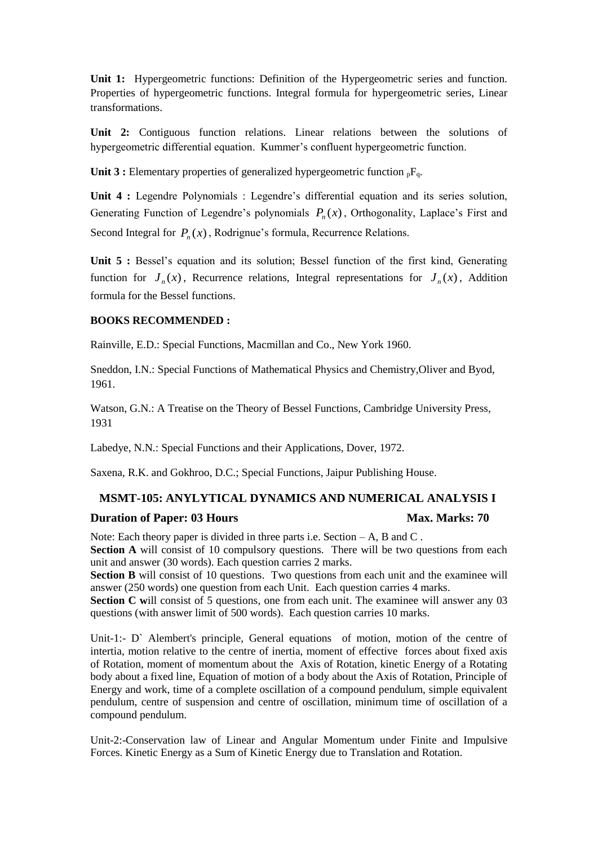**Unit 1:** Hypergeometric functions: Definition of the Hypergeometric series and function. Properties of hypergeometric functions. Integral formula for hypergeometric series, Linear transformations.

**Unit 2:** Contiguous function relations. Linear relations between the solutions of hypergeometric differential equation. Kummer's confluent hypergeometric function.

**Unit 3 :** Elementary properties of generalized hypergeometric function  ${}_{p}F_{q}$ .

**Unit 4 :** Legendre Polynomials : Legendre's differential equation and its series solution, Generating Function of Legendre's polynomials  $P_n(x)$ , Orthogonality, Laplace's First and Second Integral for  $P_n(x)$ , Rodrignue's formula, Recurrence Relations.

Unit 5 : Bessel's equation and its solution; Bessel function of the first kind, Generating function for  $J_n(x)$ , Recurrence relations, Integral representations for  $J_n(x)$ , Addition formula for the Bessel functions.

#### **BOOKS RECOMMENDED :**

Rainville, E.D.: Special Functions, Macmillan and Co., New York 1960.

Sneddon, I.N.: Special Functions of Mathematical Physics and Chemistry,Oliver and Byod, 1961.

Watson, G.N.: A Treatise on the Theory of Bessel Functions, Cambridge University Press, 1931

Labedye, N.N.: Special Functions and their Applications, Dover, 1972.

Saxena, R.K. and Gokhroo, D.C.; Special Functions, Jaipur Publishing House.

#### **MSMT-105: ANYLYTICAL DYNAMICS AND NUMERICAL ANALYSIS I**

#### **Duration of Paper: 03 Hours Max. Marks: 70**

Note: Each theory paper is divided in three parts i.e. Section  $-A$ . B and C. **Section A** will consist of 10 compulsory questions. There will be two questions from each unit and answer (30 words). Each question carries 2 marks.

**Section B** will consist of 10 questions. Two questions from each unit and the examinee will answer (250 words) one question from each Unit. Each question carries 4 marks.

**Section C** will consist of 5 questions, one from each unit. The examinee will answer any 03 questions (with answer limit of 500 words). Each question carries 10 marks.

Unit-1:- D` Alembert's principle, General equations of motion, motion of the centre of intertia, motion relative to the centre of inertia, moment of effective forces about fixed axis of Rotation, moment of momentum about the Axis of Rotation, kinetic Energy of a Rotating body about a fixed line, Equation of motion of a body about the Axis of Rotation, Principle of Energy and work, time of a complete oscillation of a compound pendulum, simple equivalent pendulum, centre of suspension and centre of oscillation, minimum time of oscillation of a compound pendulum.

Unit-2:-Conservation law of Linear and Angular Momentum under Finite and Impulsive Forces. Kinetic Energy as a Sum of Kinetic Energy due to Translation and Rotation.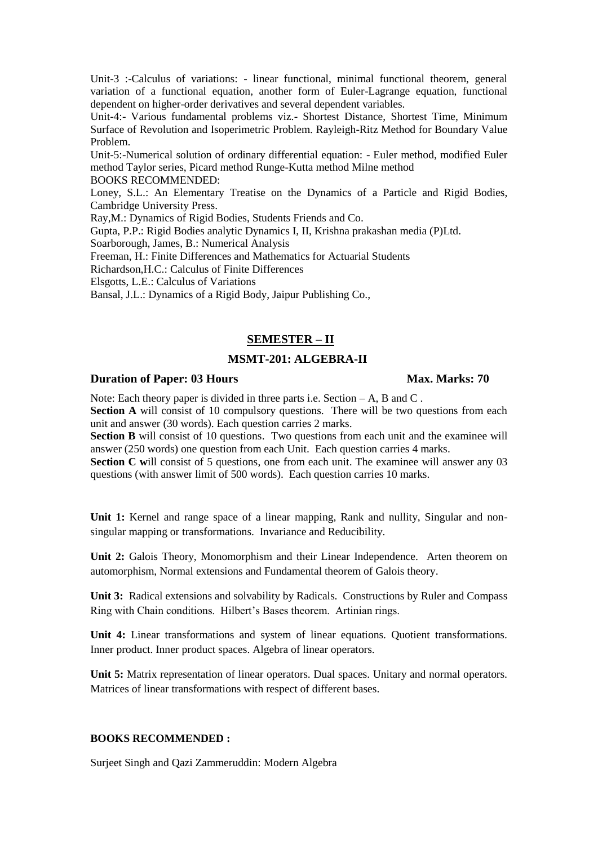Unit-3 :-Calculus of variations: - linear functional, minimal functional theorem, general variation of a functional equation, another form of Euler-Lagrange equation, functional dependent on higher-order derivatives and several dependent variables.

Unit-4:- Various fundamental problems viz.- Shortest Distance, Shortest Time, Minimum Surface of Revolution and Isoperimetric Problem. Rayleigh-Ritz Method for Boundary Value Problem.

Unit-5:-Numerical solution of ordinary differential equation: - Euler method, modified Euler method Taylor series, Picard method Runge-Kutta method Milne method BOOKS RECOMMENDED:

Loney, S.L.: An Elementary Treatise on the Dynamics of a Particle and Rigid Bodies, Cambridge University Press.

Ray,M.: Dynamics of Rigid Bodies, Students Friends and Co.

Gupta, P.P.: Rigid Bodies analytic Dynamics I, II, Krishna prakashan media (P)Ltd.

Soarborough, James, B.: Numerical Analysis

Freeman, H.: Finite Differences and Mathematics for Actuarial Students

Richardson,H.C.: Calculus of Finite Differences

Elsgotts, L.E.: Calculus of Variations

Bansal, J.L.: Dynamics of a Rigid Body, Jaipur Publishing Co.,

#### **SEMESTER – II**

### **MSMT-201: ALGEBRA-II**

#### **Duration of Paper: 03 Hours Max. Marks: 70**

Note: Each theory paper is divided in three parts i.e. Section – A, B and C. **Section A** will consist of 10 compulsory questions. There will be two questions from each unit and answer (30 words). Each question carries 2 marks.

**Section B** will consist of 10 questions. Two questions from each unit and the examinee will answer (250 words) one question from each Unit. Each question carries 4 marks.

**Section C** will consist of 5 questions, one from each unit. The examinee will answer any 03 questions (with answer limit of 500 words). Each question carries 10 marks.

**Unit 1:** Kernel and range space of a linear mapping, Rank and nullity, Singular and nonsingular mapping or transformations. Invariance and Reducibility.

**Unit 2:** Galois Theory, Monomorphism and their Linear Independence. Arten theorem on automorphism, Normal extensions and Fundamental theorem of Galois theory.

**Unit 3:** Radical extensions and solvability by Radicals. Constructions by Ruler and Compass Ring with Chain conditions. Hilbert's Bases theorem. Artinian rings.

**Unit 4:** Linear transformations and system of linear equations. Quotient transformations. Inner product. Inner product spaces. Algebra of linear operators.

Unit 5: Matrix representation of linear operators. Dual spaces. Unitary and normal operators. Matrices of linear transformations with respect of different bases.

#### **BOOKS RECOMMENDED :**

Surjeet Singh and Qazi Zammeruddin: Modern Algebra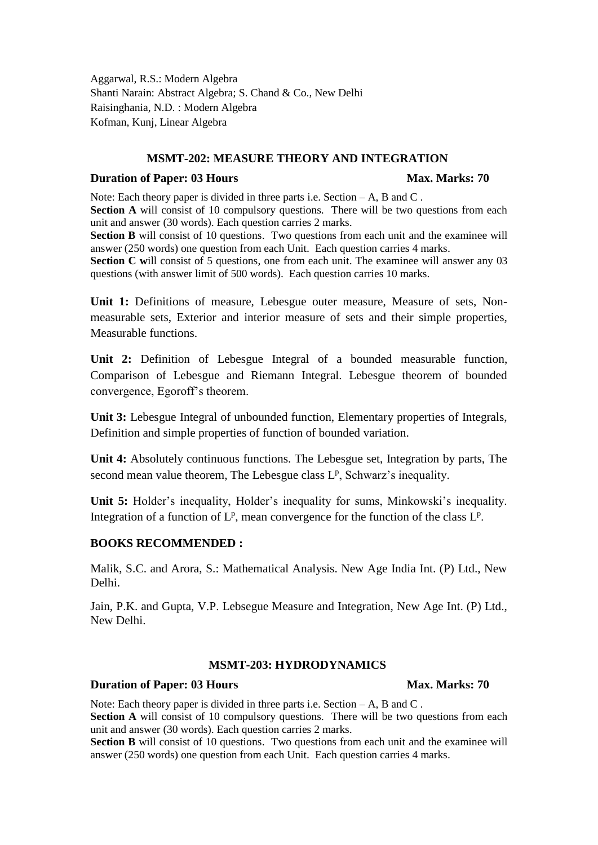Aggarwal, R.S.: Modern Algebra Shanti Narain: Abstract Algebra; S. Chand & Co., New Delhi Raisinghania, N.D. : Modern Algebra Kofman, Kunj, Linear Algebra

### **MSMT-202: MEASURE THEORY AND INTEGRATION**

#### **Duration of Paper: 03 Hours Max. Marks: 70**

Note: Each theory paper is divided in three parts i.e. Section  $-A$ , B and C. **Section A** will consist of 10 compulsory questions. There will be two questions from each unit and answer (30 words). Each question carries 2 marks.

**Section B** will consist of 10 questions. Two questions from each unit and the examinee will answer (250 words) one question from each Unit. Each question carries 4 marks.

**Section C** will consist of 5 questions, one from each unit. The examinee will answer any 03 questions (with answer limit of 500 words). Each question carries 10 marks.

**Unit 1:** Definitions of measure, Lebesgue outer measure, Measure of sets, Nonmeasurable sets, Exterior and interior measure of sets and their simple properties, Measurable functions.

**Unit 2:** Definition of Lebesgue Integral of a bounded measurable function, Comparison of Lebesgue and Riemann Integral. Lebesgue theorem of bounded convergence, Egoroff's theorem.

**Unit 3:** Lebesgue Integral of unbounded function, Elementary properties of Integrals, Definition and simple properties of function of bounded variation.

**Unit 4:** Absolutely continuous functions. The Lebesgue set, Integration by parts, The second mean value theorem, The Lebesgue class  $L^p$ , Schwarz's inequality.

**Unit 5:** Holder's inequality, Holder's inequality for sums, Minkowski's inequality. Integration of a function of  $L^p$ , mean convergence for the function of the class  $L^p$ .

#### **BOOKS RECOMMENDED :**

Malik, S.C. and Arora, S.: Mathematical Analysis. New Age India Int. (P) Ltd., New Delhi.

Jain, P.K. and Gupta, V.P. Lebsegue Measure and Integration, New Age Int. (P) Ltd., New Delhi.

#### **MSMT-203: HYDRODYNAMICS**

#### **Duration of Paper: 03 Hours Max. Marks: 70**

Note: Each theory paper is divided in three parts i.e. Section – A, B and C. **Section A** will consist of 10 compulsory questions. There will be two questions from each unit and answer (30 words). Each question carries 2 marks.

**Section B** will consist of 10 questions. Two questions from each unit and the examinee will answer (250 words) one question from each Unit. Each question carries 4 marks.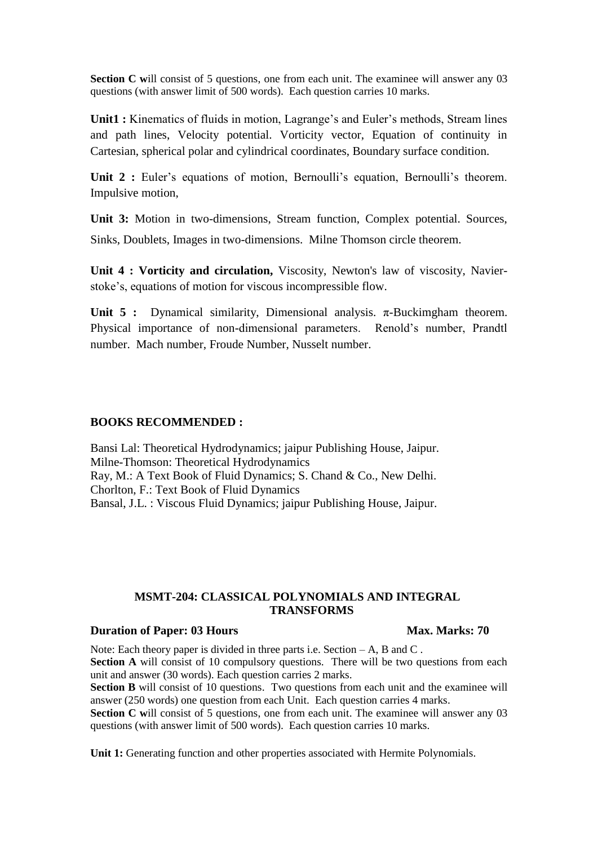**Section C** will consist of 5 questions, one from each unit. The examinee will answer any 03 questions (with answer limit of 500 words). Each question carries 10 marks.

**Unit1 :** Kinematics of fluids in motion, Lagrange's and Euler's methods, Stream lines and path lines, Velocity potential. Vorticity vector, Equation of continuity in Cartesian, spherical polar and cylindrical coordinates, Boundary surface condition.

Unit 2 : Euler's equations of motion, Bernoulli's equation, Bernoulli's theorem. Impulsive motion,

**Unit 3:** Motion in two-dimensions, Stream function, Complex potential. Sources, Sinks, Doublets, Images in two-dimensions. Milne Thomson circle theorem.

**Unit 4 : Vorticity and circulation,** Viscosity, Newton's law of viscosity, Navierstoke's, equations of motion for viscous incompressible flow.

**Unit 5 :** Dynamical similarity, Dimensional analysis. π-Buckimgham theorem. Physical importance of non-dimensional parameters. Renold's number, Prandtl number. Mach number, Froude Number, Nusselt number.

#### **BOOKS RECOMMENDED :**

Bansi Lal: Theoretical Hydrodynamics; jaipur Publishing House, Jaipur. Milne-Thomson: Theoretical Hydrodynamics Ray, M.: A Text Book of Fluid Dynamics; S. Chand & Co., New Delhi. Chorlton, F.: Text Book of Fluid Dynamics Bansal, J.L. : Viscous Fluid Dynamics; jaipur Publishing House, Jaipur.

#### **MSMT-204: CLASSICAL POLYNOMIALS AND INTEGRAL TRANSFORMS**

#### **Duration of Paper: 03 Hours Max. Marks: 70**

#### Note: Each theory paper is divided in three parts i.e. Section  $-A$ , B and C. **Section A** will consist of 10 compulsory questions. There will be two questions from each unit and answer (30 words). Each question carries 2 marks.

**Section B** will consist of 10 questions. Two questions from each unit and the examinee will answer (250 words) one question from each Unit. Each question carries 4 marks.

**Section C will consist of 5 questions, one from each unit. The examinee will answer any 03** questions (with answer limit of 500 words). Each question carries 10 marks.

**Unit 1:** Generating function and other properties associated with Hermite Polynomials.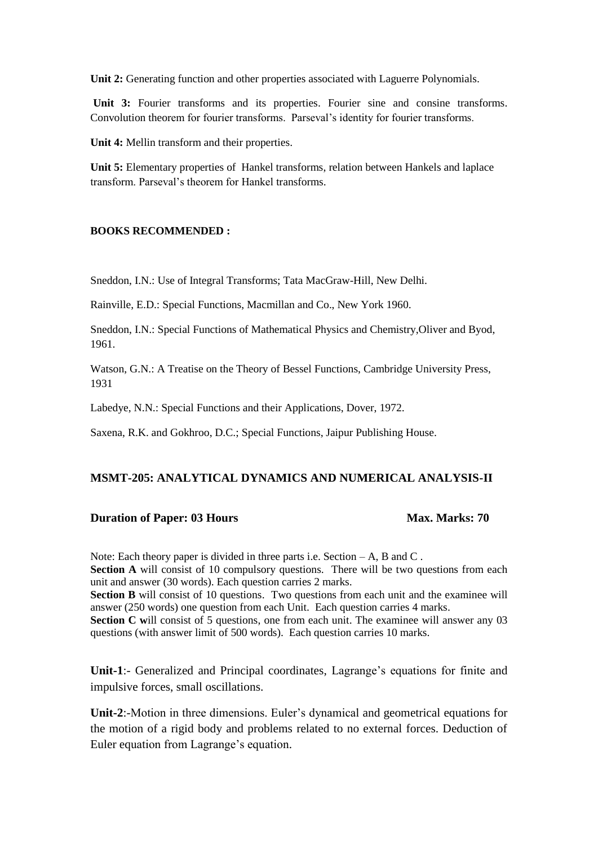**Unit 2:** Generating function and other properties associated with Laguerre Polynomials.

Unit 3: Fourier transforms and its properties. Fourier sine and consine transforms. Convolution theorem for fourier transforms. Parseval's identity for fourier transforms.

**Unit 4:** Mellin transform and their properties.

**Unit 5:** Elementary properties of Hankel transforms, relation between Hankels and laplace transform. Parseval's theorem for Hankel transforms.

#### **BOOKS RECOMMENDED :**

Sneddon, I.N.: Use of Integral Transforms; Tata MacGraw-Hill, New Delhi.

Rainville, E.D.: Special Functions, Macmillan and Co., New York 1960.

Sneddon, I.N.: Special Functions of Mathematical Physics and Chemistry,Oliver and Byod, 1961.

Watson, G.N.: A Treatise on the Theory of Bessel Functions, Cambridge University Press, 1931

Labedye, N.N.: Special Functions and their Applications, Dover, 1972.

Saxena, R.K. and Gokhroo, D.C.; Special Functions, Jaipur Publishing House.

#### **MSMT-205: ANALYTICAL DYNAMICS AND NUMERICAL ANALYSIS-II**

#### **Duration of Paper: 03 Hours Max. Marks: 70**

Note: Each theory paper is divided in three parts i.e. Section – A, B and C.

**Section A** will consist of 10 compulsory questions. There will be two questions from each unit and answer (30 words). Each question carries 2 marks.

**Section B** will consist of 10 questions. Two questions from each unit and the examinee will answer (250 words) one question from each Unit. Each question carries 4 marks.

**Section C** will consist of 5 questions, one from each unit. The examinee will answer any 03 questions (with answer limit of 500 words). Each question carries 10 marks.

**Unit-1**:- Generalized and Principal coordinates, Lagrange's equations for finite and impulsive forces, small oscillations.

**Unit-2**:-Motion in three dimensions. Euler's dynamical and geometrical equations for the motion of a rigid body and problems related to no external forces. Deduction of Euler equation from Lagrange's equation.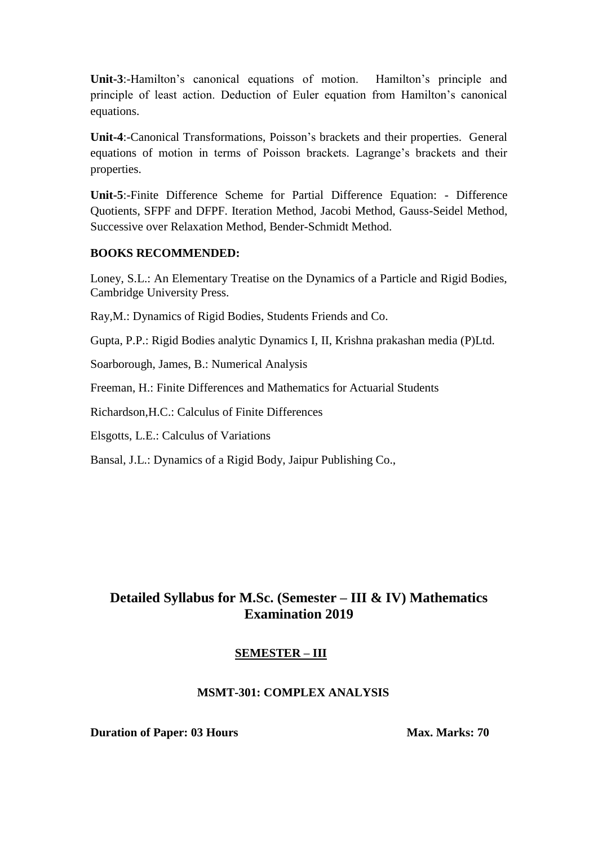**Unit-3**:-Hamilton's canonical equations of motion. Hamilton's principle and principle of least action. Deduction of Euler equation from Hamilton's canonical equations.

**Unit-4**:-Canonical Transformations, Poisson's brackets and their properties. General equations of motion in terms of Poisson brackets. Lagrange's brackets and their properties.

**Unit-5**:-Finite Difference Scheme for Partial Difference Equation: - Difference Quotients, SFPF and DFPF. Iteration Method, Jacobi Method, Gauss-Seidel Method, Successive over Relaxation Method, Bender-Schmidt Method.

### **BOOKS RECOMMENDED:**

Loney, S.L.: An Elementary Treatise on the Dynamics of a Particle and Rigid Bodies, Cambridge University Press.

Ray,M.: Dynamics of Rigid Bodies, Students Friends and Co.

Gupta, P.P.: Rigid Bodies analytic Dynamics I, II, Krishna prakashan media (P)Ltd.

Soarborough, James, B.: Numerical Analysis

Freeman, H.: Finite Differences and Mathematics for Actuarial Students

Richardson,H.C.: Calculus of Finite Differences

Elsgotts, L.E.: Calculus of Variations

Bansal, J.L.: Dynamics of a Rigid Body, Jaipur Publishing Co.,

# **Detailed Syllabus for M.Sc. (Semester – III & IV) Mathematics Examination 2019**

### **SEMESTER – III**

### **MSMT-301: COMPLEX ANALYSIS**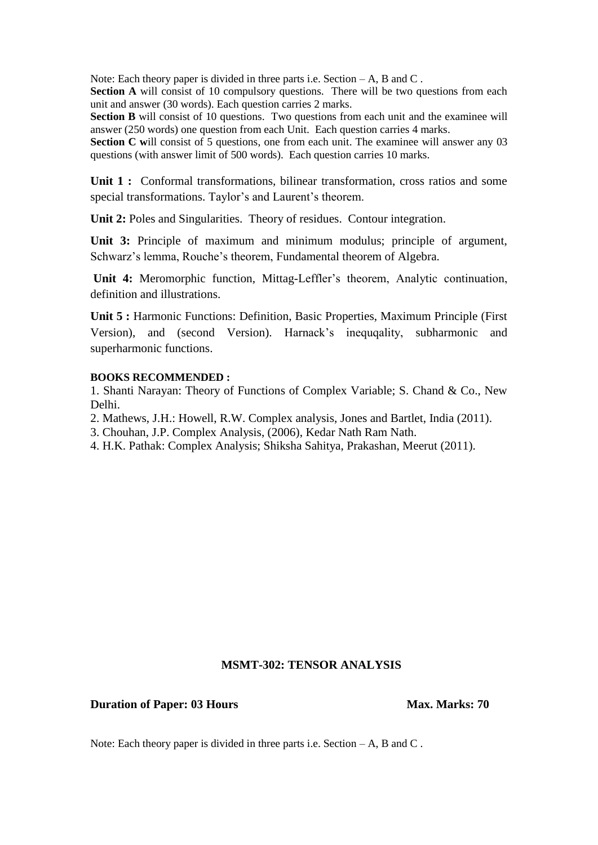**Section A** will consist of 10 compulsory questions. There will be two questions from each unit and answer (30 words). Each question carries 2 marks.

**Section B** will consist of 10 questions. Two questions from each unit and the examinee will answer (250 words) one question from each Unit. Each question carries 4 marks.

Section C will consist of 5 questions, one from each unit. The examinee will answer any 03 questions (with answer limit of 500 words). Each question carries 10 marks.

Unit 1 : Conformal transformations, bilinear transformation, cross ratios and some special transformations. Taylor's and Laurent's theorem.

**Unit 2:** Poles and Singularities. Theory of residues. Contour integration.

**Unit 3:** Principle of maximum and minimum modulus; principle of argument, Schwarz's lemma, Rouche's theorem, Fundamental theorem of Algebra.

**Unit 4:** Meromorphic function, Mittag-Leffler's theorem, Analytic continuation, definition and illustrations.

**Unit 5 :** Harmonic Functions: Definition, Basic Properties, Maximum Principle (First Version), and (second Version). Harnack's inequqality, subharmonic and superharmonic functions.

#### **BOOKS RECOMMENDED :**

1. Shanti Narayan: Theory of Functions of Complex Variable; S. Chand & Co., New Delhi.

2. Mathews, J.H.: Howell, R.W. Complex analysis, Jones and Bartlet, India (2011).

3. Chouhan, J.P. Complex Analysis, (2006), Kedar Nath Ram Nath.

4. H.K. Pathak: Complex Analysis; Shiksha Sahitya, Prakashan, Meerut (2011).

#### **MSMT-302: TENSOR ANALYSIS**

#### **Duration of Paper: 03 Hours Max. Marks: 70**

Note: Each theory paper is divided in three parts i.e. Section – A, B and C.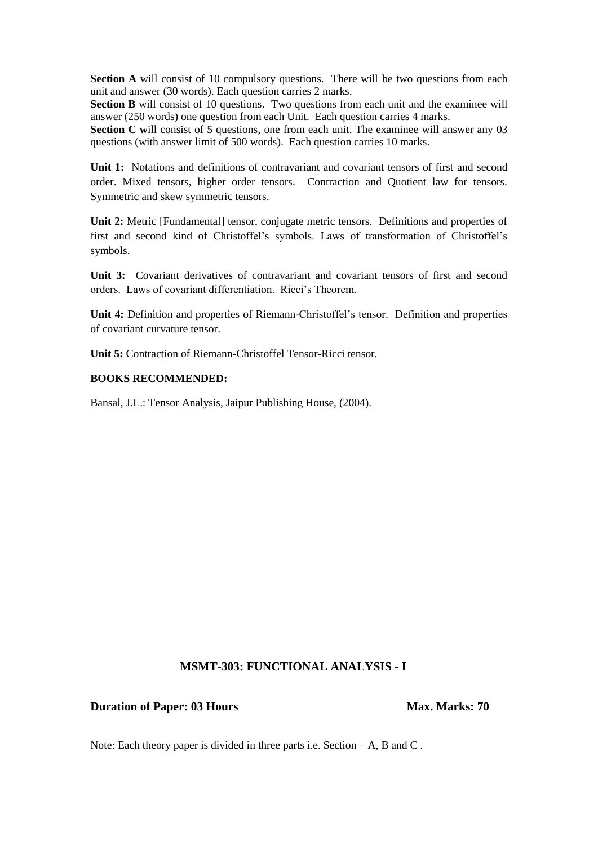**Section A** will consist of 10 compulsory questions. There will be two questions from each unit and answer (30 words). Each question carries 2 marks.

**Section B** will consist of 10 questions. Two questions from each unit and the examinee will answer (250 words) one question from each Unit. Each question carries 4 marks.

**Section C** will consist of 5 questions, one from each unit. The examinee will answer any 03 questions (with answer limit of 500 words). Each question carries 10 marks.

Unit 1: Notations and definitions of contravariant and covariant tensors of first and second order. Mixed tensors, higher order tensors. Contraction and Quotient law for tensors. Symmetric and skew symmetric tensors.

**Unit 2:** Metric [Fundamental] tensor, conjugate metric tensors. Definitions and properties of first and second kind of Christoffel's symbols. Laws of transformation of Christoffel's symbols.

Unit 3: Covariant derivatives of contravariant and covariant tensors of first and second orders. Laws of covariant differentiation. Ricci's Theorem.

**Unit 4:** Definition and properties of Riemann-Christoffel's tensor. Definition and properties of covariant curvature tensor.

**Unit 5:** Contraction of Riemann-Christoffel Tensor-Ricci tensor.

#### **BOOKS RECOMMENDED:**

Bansal, J.L.: Tensor Analysis, Jaipur Publishing House, (2004).

### **MSMT-303: FUNCTIONAL ANALYSIS - I**

#### **Duration of Paper: 03 Hours Max. Marks: 70**

Note: Each theory paper is divided in three parts i.e. Section  $-A$ , B and C.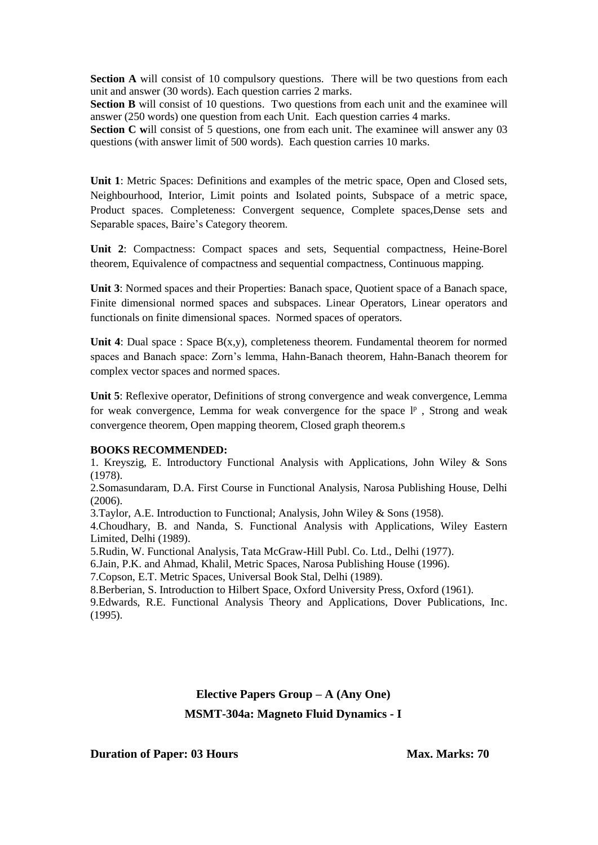**Section A** will consist of 10 compulsory questions. There will be two questions from each unit and answer (30 words). Each question carries 2 marks.

**Section B** will consist of 10 questions. Two questions from each unit and the examinee will answer (250 words) one question from each Unit. Each question carries 4 marks.

**Section C** will consist of 5 questions, one from each unit. The examinee will answer any 03 questions (with answer limit of 500 words). Each question carries 10 marks.

**Unit 1**: Metric Spaces: Definitions and examples of the metric space, Open and Closed sets, Neighbourhood, Interior, Limit points and Isolated points, Subspace of a metric space, Product spaces. Completeness: Convergent sequence, Complete spaces,Dense sets and Separable spaces, Baire's Category theorem.

**Unit 2**: Compactness: Compact spaces and sets, Sequential compactness, Heine-Borel theorem, Equivalence of compactness and sequential compactness, Continuous mapping.

Unit 3: Normed spaces and their Properties: Banach space, Quotient space of a Banach space, Finite dimensional normed spaces and subspaces. Linear Operators, Linear operators and functionals on finite dimensional spaces. Normed spaces of operators.

**Unit 4**: Dual space : Space  $B(x,y)$ , completeness theorem. Fundamental theorem for normed spaces and Banach space: Zorn's lemma, Hahn-Banach theorem, Hahn-Banach theorem for complex vector spaces and normed spaces.

**Unit 5**: Reflexive operator, Definitions of strong convergence and weak convergence, Lemma for weak convergence, Lemma for weak convergence for the space  $l^p$ , Strong and weak convergence theorem, Open mapping theorem, Closed graph theorem.s

#### **BOOKS RECOMMENDED:**

1. Kreyszig, E. Introductory Functional Analysis with Applications, John Wiley & Sons (1978).

2.Somasundaram, D.A. First Course in Functional Analysis, Narosa Publishing House, Delhi (2006).

3.Taylor, A.E. Introduction to Functional; Analysis, John Wiley & Sons (1958).

4.Choudhary, B. and Nanda, S. Functional Analysis with Applications, Wiley Eastern Limited, Delhi (1989).

5.Rudin, W. Functional Analysis, Tata McGraw-Hill Publ. Co. Ltd., Delhi (1977).

6.Jain, P.K. and Ahmad, Khalil, Metric Spaces, Narosa Publishing House (1996).

7.Copson, E.T. Metric Spaces, Universal Book Stal, Delhi (1989).

8.Berberian, S. Introduction to Hilbert Space, Oxford University Press, Oxford (1961).

9.Edwards, R.E. Functional Analysis Theory and Applications, Dover Publications, Inc. (1995).

# **Elective Papers Group – A (Any One) MSMT-304a: Magneto Fluid Dynamics - I**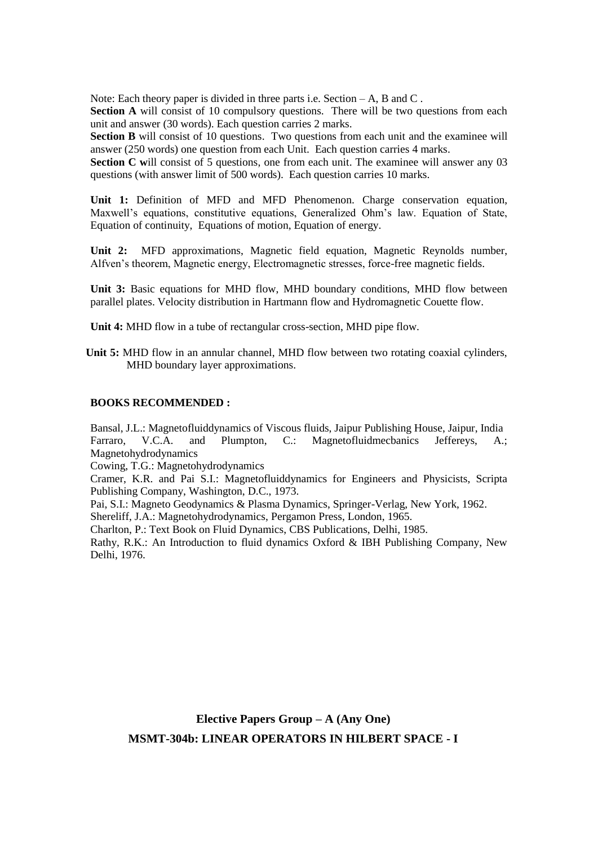**Section A** will consist of 10 compulsory questions. There will be two questions from each unit and answer (30 words). Each question carries 2 marks.

**Section B** will consist of 10 questions. Two questions from each unit and the examinee will answer (250 words) one question from each Unit. Each question carries 4 marks.

**Section C** will consist of 5 questions, one from each unit. The examinee will answer any 03 questions (with answer limit of 500 words). Each question carries 10 marks.

**Unit 1:** Definition of MFD and MFD Phenomenon. Charge conservation equation, Maxwell's equations, constitutive equations, Generalized Ohm's law. Equation of State, Equation of continuity, Equations of motion, Equation of energy.

**Unit 2:** MFD approximations, Magnetic field equation, Magnetic Reynolds number, Alfven's theorem, Magnetic energy, Electromagnetic stresses, force-free magnetic fields.

**Unit 3:** Basic equations for MHD flow, MHD boundary conditions, MHD flow between parallel plates. Velocity distribution in Hartmann flow and Hydromagnetic Couette flow.

**Unit 4:** MHD flow in a tube of rectangular cross-section, MHD pipe flow.

**Unit 5:** MHD flow in an annular channel, MHD flow between two rotating coaxial cylinders, MHD boundary layer approximations.

#### **BOOKS RECOMMENDED :**

Bansal, J.L.: Magnetofluiddynamics of Viscous fluids, Jaipur Publishing House, Jaipur, India Farraro, V.C.A. and Plumpton, C.: Magnetofluidmecbanics Jeffereys, A.; Magnetohydrodynamics

Cowing, T.G.: Magnetohydrodynamics

Cramer, K.R. and Pai S.I.: Magnetofluiddynamics for Engineers and Physicists, Scripta Publishing Company, Washington, D.C., 1973.

Pai, S.I.: Magneto Geodynamics & Plasma Dynamics, Springer-Verlag, New York, 1962.

Shereliff, J.A.: Magnetohydrodynamics, Pergamon Press, London, 1965.

Charlton, P.: Text Book on Fluid Dynamics, CBS Publications, Delhi, 1985.

Rathy, R.K.: An Introduction to fluid dynamics Oxford & IBH Publishing Company, New Delhi, 1976.

**Elective Papers Group – A (Any One) MSMT-304b: LINEAR OPERATORS IN HILBERT SPACE - I**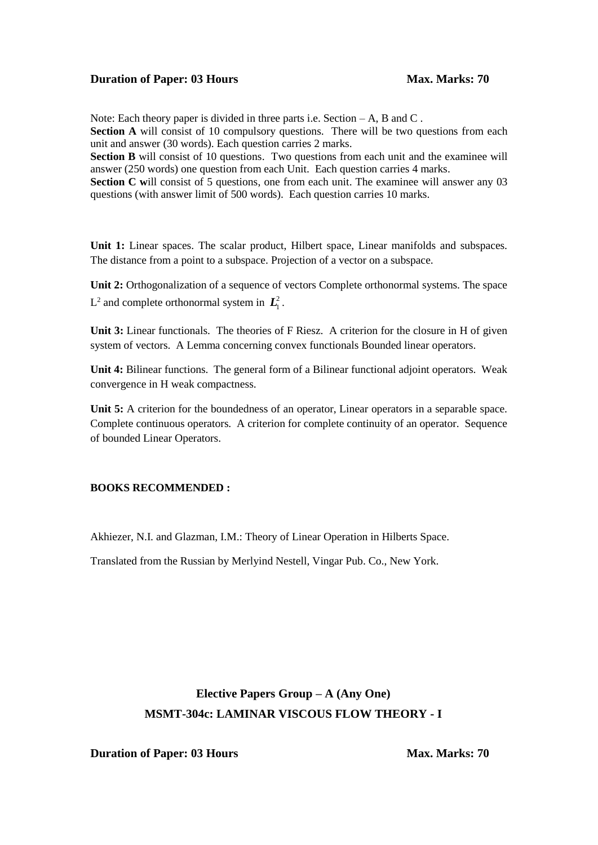Note: Each theory paper is divided in three parts i.e. Section – A, B and C.

**Section A** will consist of 10 compulsory questions. There will be two questions from each unit and answer (30 words). Each question carries 2 marks.

**Section B** will consist of 10 questions. Two questions from each unit and the examinee will answer (250 words) one question from each Unit. Each question carries 4 marks.

**Section C** will consist of 5 questions, one from each unit. The examinee will answer any 03 questions (with answer limit of 500 words). Each question carries 10 marks.

Unit 1: Linear spaces. The scalar product, Hilbert space, Linear manifolds and subspaces. The distance from a point to a subspace. Projection of a vector on a subspace.

Unit 2: Orthogonalization of a sequence of vectors Complete orthonormal systems. The space  $L^2$  and complete orthonormal system in  $\mathbf{L}_1^2$ .

Unit 3: Linear functionals. The theories of F Riesz. A criterion for the closure in H of given system of vectors. A Lemma concerning convex functionals Bounded linear operators.

**Unit 4:** Bilinear functions. The general form of a Bilinear functional adjoint operators. Weak convergence in H weak compactness.

Unit 5: A criterion for the boundedness of an operator, Linear operators in a separable space. Complete continuous operators. A criterion for complete continuity of an operator. Sequence of bounded Linear Operators.

#### **BOOKS RECOMMENDED :**

Akhiezer, N.I. and Glazman, I.M.: Theory of Linear Operation in Hilberts Space.

Translated from the Russian by Merlyind Nestell, Vingar Pub. Co., New York.

# **Elective Papers Group – A (Any One) MSMT-304c: LAMINAR VISCOUS FLOW THEORY - I**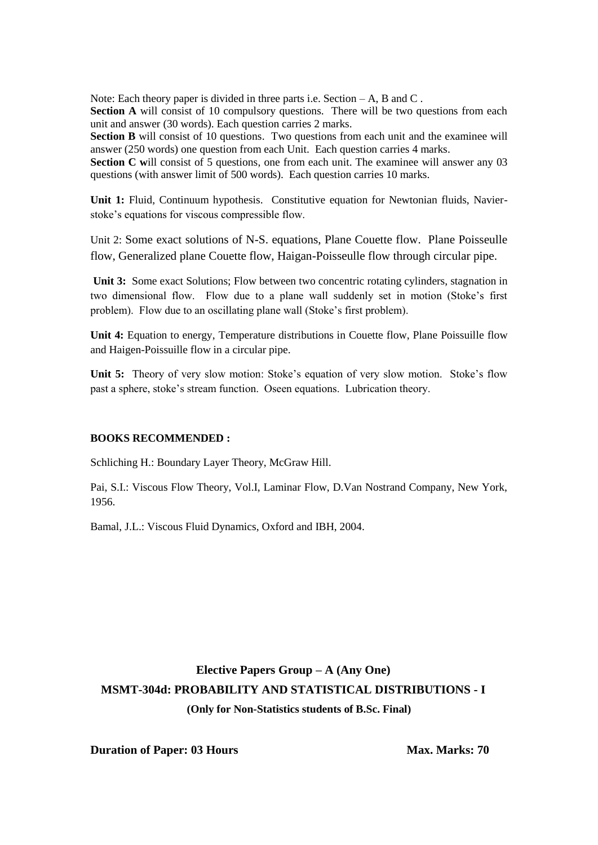Section A will consist of 10 compulsory questions. There will be two questions from each unit and answer (30 words). Each question carries 2 marks.

**Section B** will consist of 10 questions. Two questions from each unit and the examinee will answer (250 words) one question from each Unit. Each question carries 4 marks.

**Section C** will consist of 5 questions, one from each unit. The examinee will answer any 03 questions (with answer limit of 500 words). Each question carries 10 marks.

**Unit 1:** Fluid, Continuum hypothesis. Constitutive equation for Newtonian fluids, Navierstoke's equations for viscous compressible flow.

Unit 2: Some exact solutions of N-S. equations, Plane Couette flow. Plane Poisseulle flow, Generalized plane Couette flow, Haigan-Poisseulle flow through circular pipe.

**Unit 3:** Some exact Solutions; Flow between two concentric rotating cylinders, stagnation in two dimensional flow. Flow due to a plane wall suddenly set in motion (Stoke's first problem). Flow due to an oscillating plane wall (Stoke's first problem).

**Unit 4:** Equation to energy, Temperature distributions in Couette flow, Plane Poissuille flow and Haigen-Poissuille flow in a circular pipe.

**Unit 5:** Theory of very slow motion: Stoke's equation of very slow motion. Stoke's flow past a sphere, stoke's stream function. Oseen equations. Lubrication theory.

#### **BOOKS RECOMMENDED :**

Schliching H.: Boundary Layer Theory, McGraw Hill.

Pai, S.I.: Viscous Flow Theory, Vol.I, Laminar Flow, D.Van Nostrand Company, New York, 1956.

Bamal, J.L.: Viscous Fluid Dynamics, Oxford and IBH, 2004.

# **Elective Papers Group – A (Any One) MSMT-304d: PROBABILITY AND STATISTICAL DISTRIBUTIONS - I (Only for Non-Statistics students of B.Sc. Final)**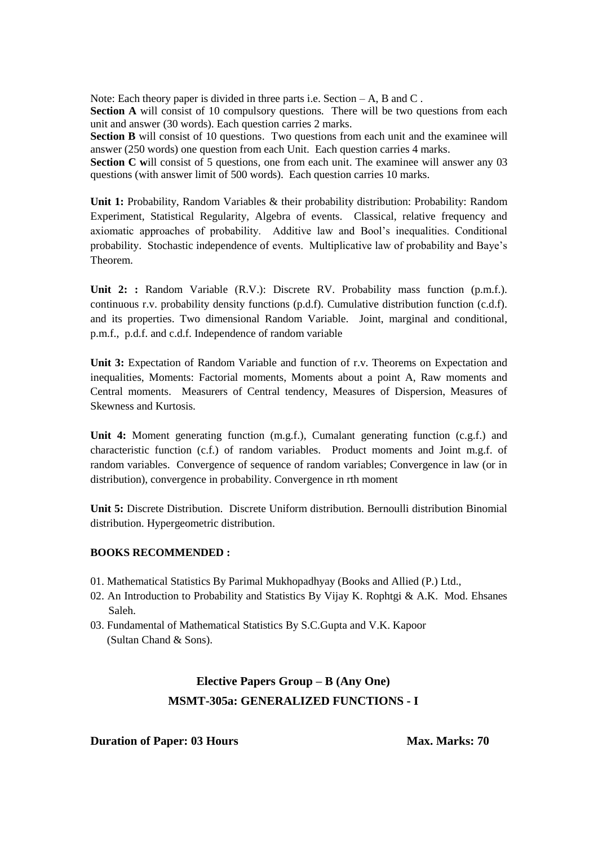**Section A** will consist of 10 compulsory questions. There will be two questions from each unit and answer (30 words). Each question carries 2 marks.

**Section B** will consist of 10 questions. Two questions from each unit and the examinee will answer (250 words) one question from each Unit. Each question carries 4 marks.

**Section C** will consist of 5 questions, one from each unit. The examinee will answer any 03 questions (with answer limit of 500 words). Each question carries 10 marks.

**Unit 1:** Probability, Random Variables & their probability distribution: Probability: Random Experiment, Statistical Regularity, Algebra of events. Classical, relative frequency and axiomatic approaches of probability. Additive law and Bool's inequalities. Conditional probability. Stochastic independence of events. Multiplicative law of probability and Baye's Theorem.

**Unit 2: :** Random Variable (R.V.): Discrete RV. Probability mass function (p.m.f.). continuous r.v. probability density functions (p.d.f). Cumulative distribution function (c.d.f). and its properties. Two dimensional Random Variable. Joint, marginal and conditional, p.m.f., p.d.f. and c.d.f. Independence of random variable

**Unit 3:** Expectation of Random Variable and function of r.v. Theorems on Expectation and inequalities, Moments: Factorial moments, Moments about a point A, Raw moments and Central moments. Measurers of Central tendency, Measures of Dispersion, Measures of Skewness and Kurtosis.

**Unit 4:** Moment generating function (m.g.f.), Cumalant generating function (c.g.f.) and characteristic function (c.f.) of random variables. Product moments and Joint m.g.f. of random variables. Convergence of sequence of random variables; Convergence in law (or in distribution), convergence in probability. Convergence in rth moment

**Unit 5:** Discrete Distribution. Discrete Uniform distribution. Bernoulli distribution Binomial distribution. Hypergeometric distribution.

#### **BOOKS RECOMMENDED :**

- 01. Mathematical Statistics By Parimal Mukhopadhyay (Books and Allied (P.) Ltd.,
- 02. An Introduction to Probability and Statistics By Vijay K. Rophtgi & A.K. Mod. Ehsanes Saleh.
- 03. Fundamental of Mathematical Statistics By S.C.Gupta and V.K. Kapoor (Sultan Chand & Sons).

# **Elective Papers Group – B (Any One) MSMT-305a: GENERALIZED FUNCTIONS - I**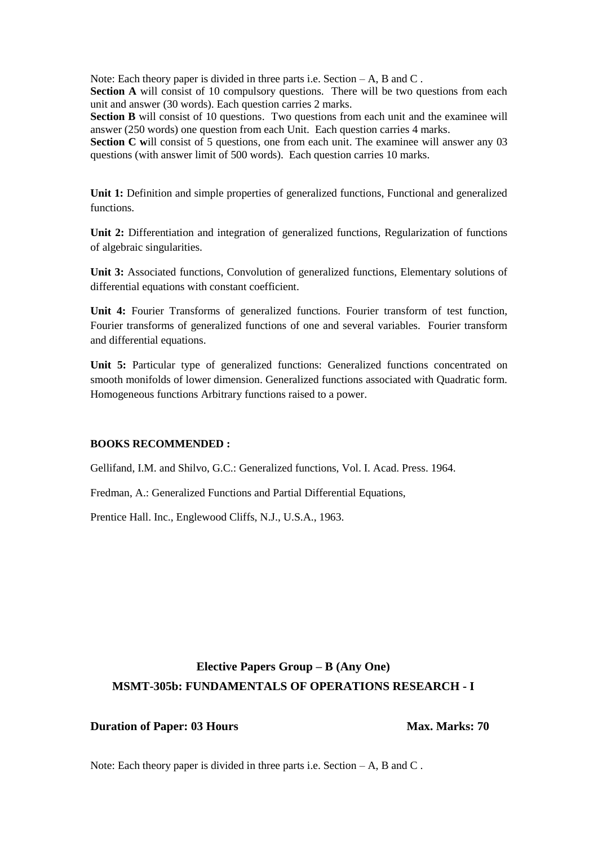**Section A** will consist of 10 compulsory questions. There will be two questions from each unit and answer (30 words). Each question carries 2 marks.

**Section B** will consist of 10 questions. Two questions from each unit and the examinee will answer (250 words) one question from each Unit. Each question carries 4 marks.

**Section C will consist of 5 questions, one from each unit. The examinee will answer any 03** questions (with answer limit of 500 words). Each question carries 10 marks.

Unit 1: Definition and simple properties of generalized functions, Functional and generalized functions.

**Unit 2:** Differentiation and integration of generalized functions, Regularization of functions of algebraic singularities.

Unit 3: Associated functions, Convolution of generalized functions, Elementary solutions of differential equations with constant coefficient.

**Unit 4:** Fourier Transforms of generalized functions. Fourier transform of test function, Fourier transforms of generalized functions of one and several variables. Fourier transform and differential equations.

Unit 5: Particular type of generalized functions: Generalized functions concentrated on smooth monifolds of lower dimension. Generalized functions associated with Quadratic form. Homogeneous functions Arbitrary functions raised to a power.

#### **BOOKS RECOMMENDED :**

Gellifand, I.M. and Shilvo, G.C.: Generalized functions, Vol. I. Acad. Press. 1964.

Fredman, A.: Generalized Functions and Partial Differential Equations,

Prentice Hall. Inc., Englewood Cliffs, N.J., U.S.A., 1963.

# **Elective Papers Group – B (Any One) MSMT-305b: FUNDAMENTALS OF OPERATIONS RESEARCH - I**

#### **Duration of Paper: 03 Hours Max. Marks: 70**

Note: Each theory paper is divided in three parts i.e. Section  $-A$ , B and C.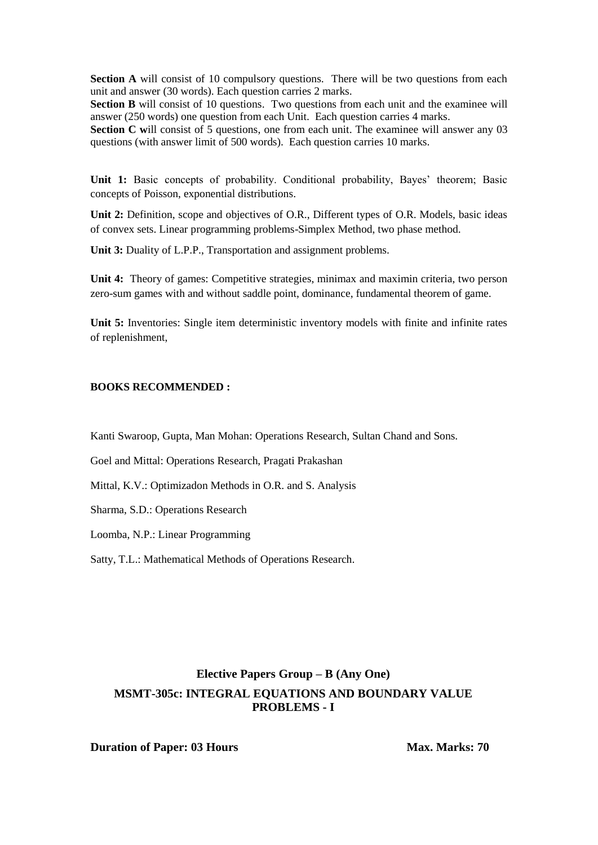**Section A** will consist of 10 compulsory questions. There will be two questions from each unit and answer (30 words). Each question carries 2 marks.

**Section B** will consist of 10 questions. Two questions from each unit and the examinee will answer (250 words) one question from each Unit. Each question carries 4 marks.

**Section C** will consist of 5 questions, one from each unit. The examinee will answer any 03 questions (with answer limit of 500 words). Each question carries 10 marks.

Unit 1: Basic concepts of probability. Conditional probability, Bayes' theorem; Basic concepts of Poisson, exponential distributions.

**Unit 2:** Definition, scope and objectives of O.R., Different types of O.R. Models, basic ideas of convex sets. Linear programming problems-Simplex Method, two phase method.

**Unit 3:** Duality of L.P.P., Transportation and assignment problems.

**Unit 4:** Theory of games: Competitive strategies, minimax and maximin criteria, two person zero-sum games with and without saddle point, dominance, fundamental theorem of game.

**Unit 5:** Inventories: Single item deterministic inventory models with finite and infinite rates of replenishment,

#### **BOOKS RECOMMENDED :**

Kanti Swaroop, Gupta, Man Mohan: Operations Research, Sultan Chand and Sons.

Goel and Mittal: Operations Research, Pragati Prakashan

Mittal, K.V.: Optimizadon Methods in O.R. and S. Analysis

Sharma, S.D.: Operations Research

Loomba, N.P.: Linear Programming

Satty, T.L.: Mathematical Methods of Operations Research.

## **Elective Papers Group – B (Any One) MSMT-305c: INTEGRAL EQUATIONS AND BOUNDARY VALUE PROBLEMS - I**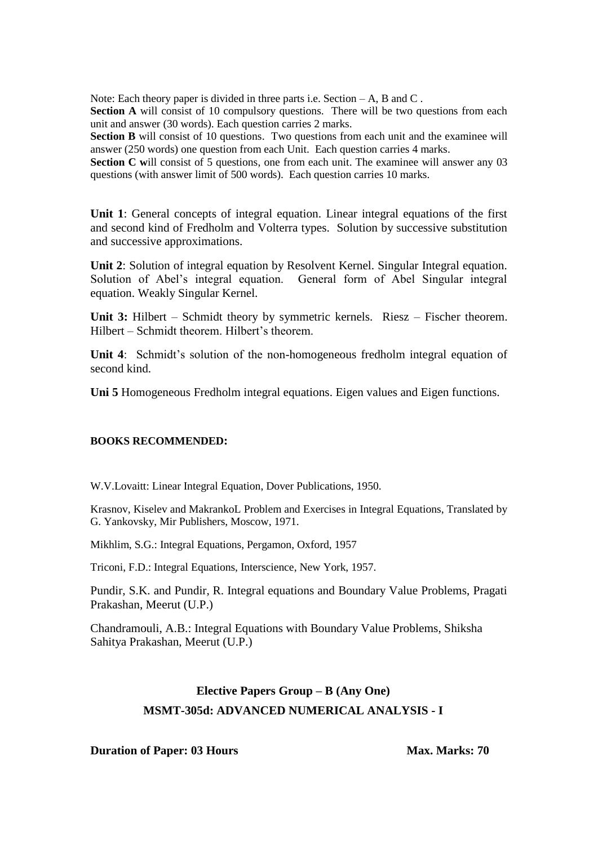**Section A** will consist of 10 compulsory questions. There will be two questions from each unit and answer (30 words). Each question carries 2 marks.

**Section B** will consist of 10 questions. Two questions from each unit and the examinee will answer (250 words) one question from each Unit. Each question carries 4 marks.

**Section C** will consist of 5 questions, one from each unit. The examinee will answer any 03 questions (with answer limit of 500 words). Each question carries 10 marks.

**Unit 1**: General concepts of integral equation. Linear integral equations of the first and second kind of Fredholm and Volterra types. Solution by successive substitution and successive approximations.

**Unit 2**: Solution of integral equation by Resolvent Kernel. Singular Integral equation. Solution of Abel's integral equation. General form of Abel Singular integral equation. Weakly Singular Kernel.

**Unit 3:** Hilbert – Schmidt theory by symmetric kernels. Riesz – Fischer theorem. Hilbert – Schmidt theorem. Hilbert's theorem.

**Unit 4**: Schmidt's solution of the non-homogeneous fredholm integral equation of second kind.

**Uni 5** Homogeneous Fredholm integral equations. Eigen values and Eigen functions.

#### **BOOKS RECOMMENDED:**

W.V.Lovaitt: Linear Integral Equation, Dover Publications, 1950.

Krasnov, Kiselev and MakrankoL Problem and Exercises in Integral Equations, Translated by G. Yankovsky, Mir Publishers, Moscow, 1971.

Mikhlim, S.G.: Integral Equations, Pergamon, Oxford, 1957

Triconi, F.D.: Integral Equations, Interscience, New York, 1957.

Pundir, S.K. and Pundir, R. Integral equations and Boundary Value Problems, Pragati Prakashan, Meerut (U.P.)

Chandramouli, A.B.: Integral Equations with Boundary Value Problems, Shiksha Sahitya Prakashan, Meerut (U.P.)

# **Elective Papers Group – B (Any One) MSMT-305d: ADVANCED NUMERICAL ANALYSIS - I**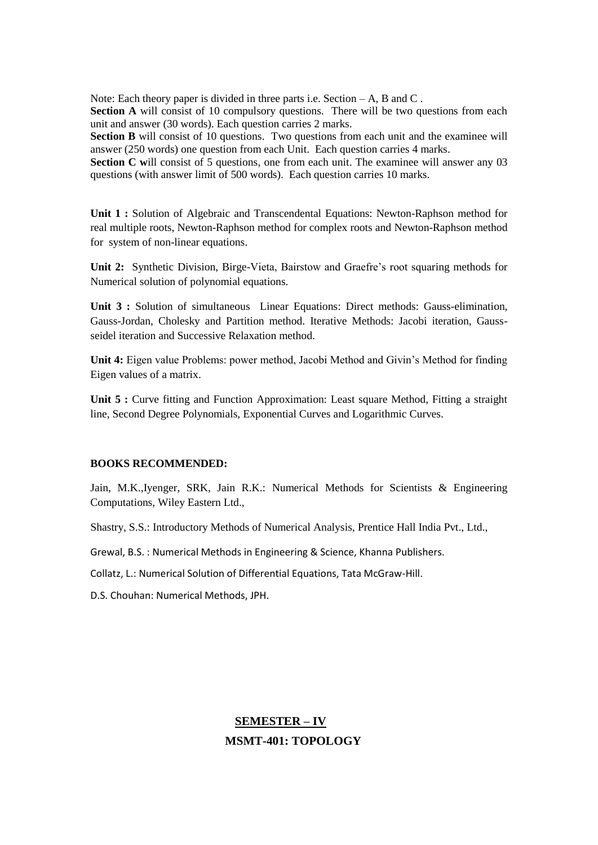Section A will consist of 10 compulsory questions. There will be two questions from each unit and answer (30 words). Each question carries 2 marks.

**Section B** will consist of 10 questions. Two questions from each unit and the examinee will answer (250 words) one question from each Unit. Each question carries 4 marks.

**Section C** will consist of 5 questions, one from each unit. The examinee will answer any 03 questions (with answer limit of 500 words). Each question carries 10 marks.

**Unit 1 :** Solution of Algebraic and Transcendental Equations: Newton-Raphson method for real multiple roots, Newton-Raphson method for complex roots and Newton-Raphson method for system of non-linear equations.

**Unit 2:** Synthetic Division, Birge-Vieta, Bairstow and Graefre's root squaring methods for Numerical solution of polynomial equations.

**Unit 3 :** Solution of simultaneous Linear Equations: Direct methods: Gauss-elimination, Gauss-Jordan, Cholesky and Partition method. Iterative Methods: Jacobi iteration, Gaussseidel iteration and Successive Relaxation method.

**Unit 4:** Eigen value Problems: power method, Jacobi Method and Givin's Method for finding Eigen values of a matrix.

**Unit 5 :** Curve fitting and Function Approximation: Least square Method, Fitting a straight line, Second Degree Polynomials, Exponential Curves and Logarithmic Curves.

#### **BOOKS RECOMMENDED:**

Jain, M.K.,Iyenger, SRK, Jain R.K.: Numerical Methods for Scientists & Engineering Computations, Wiley Eastern Ltd.,

Shastry, S.S.: Introductory Methods of Numerical Analysis, Prentice Hall India Pvt., Ltd.,

Grewal, B.S. : Numerical Methods in Engineering & Science, Khanna Publishers.

Collatz, L.: Numerical Solution of Differential Equations, Tata McGraw-Hill.

D.S. Chouhan: Numerical Methods, JPH.

# **SEMESTER – IV MSMT-401: TOPOLOGY**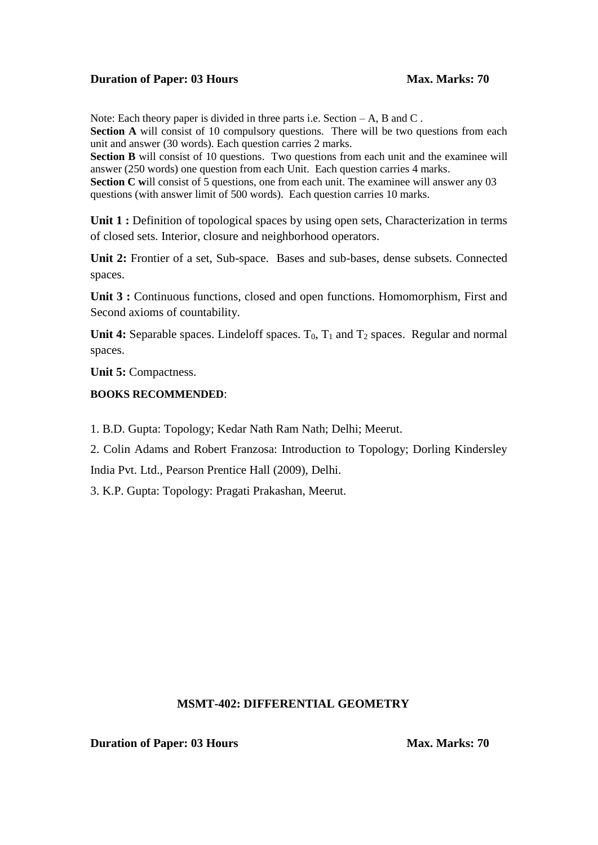Note: Each theory paper is divided in three parts i.e. Section – A, B and C.

**Section A** will consist of 10 compulsory questions. There will be two questions from each unit and answer (30 words). Each question carries 2 marks.

**Section B** will consist of 10 questions. Two questions from each unit and the examinee will answer (250 words) one question from each Unit. Each question carries 4 marks.

**Section C will consist of 5 questions, one from each unit. The examinee will answer any 03** questions (with answer limit of 500 words). Each question carries 10 marks.

Unit 1 **:** Definition of topological spaces by using open sets, Characterization in terms of closed sets. Interior, closure and neighborhood operators.

**Unit 2:** Frontier of a set, Sub-space. Bases and sub-bases, dense subsets. Connected spaces.

**Unit 3 :** Continuous functions, closed and open functions. Homomorphism, First and Second axioms of countability.

**Unit 4:** Separable spaces. Lindeloff spaces.  $T_0$ ,  $T_1$  and  $T_2$  spaces. Regular and normal spaces.

**Unit 5:** Compactness.

#### **BOOKS RECOMMENDED**:

1. B.D. Gupta: Topology; Kedar Nath Ram Nath; Delhi; Meerut.

2. Colin Adams and Robert Franzosa: Introduction to Topology; Dorling Kindersley India Pvt. Ltd., Pearson Prentice Hall (2009), Delhi.

3. K.P. Gupta: Topology: Pragati Prakashan, Meerut.

#### **MSMT-402: DIFFERENTIAL GEOMETRY**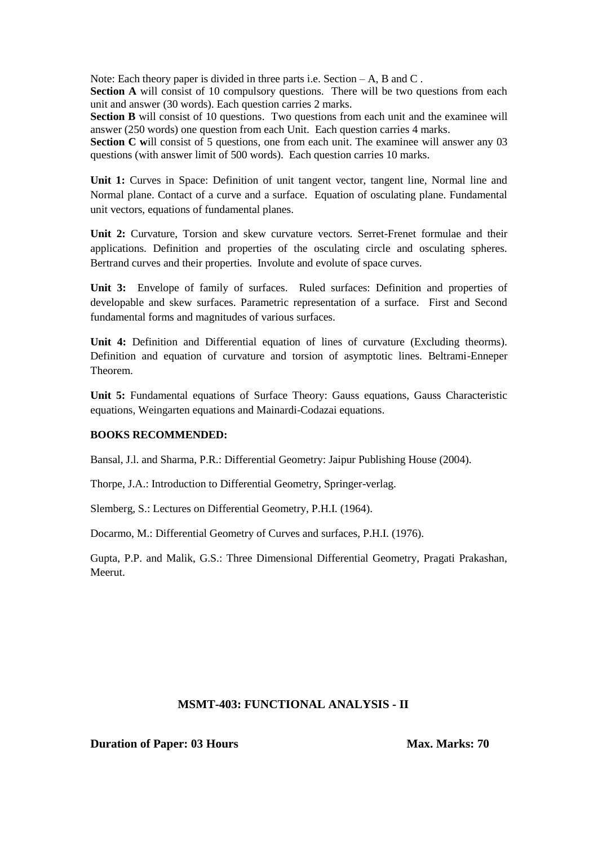**Section A** will consist of 10 compulsory questions. There will be two questions from each unit and answer (30 words). Each question carries 2 marks.

**Section B** will consist of 10 questions. Two questions from each unit and the examinee will answer (250 words) one question from each Unit. Each question carries 4 marks.

Section C will consist of 5 questions, one from each unit. The examinee will answer any 03 questions (with answer limit of 500 words). Each question carries 10 marks.

**Unit 1:** Curves in Space: Definition of unit tangent vector, tangent line, Normal line and Normal plane. Contact of a curve and a surface. Equation of osculating plane. Fundamental unit vectors, equations of fundamental planes.

**Unit 2:** Curvature, Torsion and skew curvature vectors. Serret-Frenet formulae and their applications. Definition and properties of the osculating circle and osculating spheres. Bertrand curves and their properties. Involute and evolute of space curves.

Unit 3: Envelope of family of surfaces. Ruled surfaces: Definition and properties of developable and skew surfaces. Parametric representation of a surface. First and Second fundamental forms and magnitudes of various surfaces.

**Unit 4:** Definition and Differential equation of lines of curvature (Excluding theorms). Definition and equation of curvature and torsion of asymptotic lines. Beltrami-Enneper Theorem.

**Unit 5:** Fundamental equations of Surface Theory: Gauss equations, Gauss Characteristic equations, Weingarten equations and Mainardi-Codazai equations.

#### **BOOKS RECOMMENDED:**

Bansal, J.l. and Sharma, P.R.: Differential Geometry: Jaipur Publishing House (2004).

Thorpe, J.A.: Introduction to Differential Geometry, Springer-verlag.

Slemberg, S.: Lectures on Differential Geometry, P.H.I. (1964).

Docarmo, M.: Differential Geometry of Curves and surfaces, P.H.I. (1976).

Gupta, P.P. and Malik, G.S.: Three Dimensional Differential Geometry, Pragati Prakashan, Meerut.

#### **MSMT-403: FUNCTIONAL ANALYSIS - II**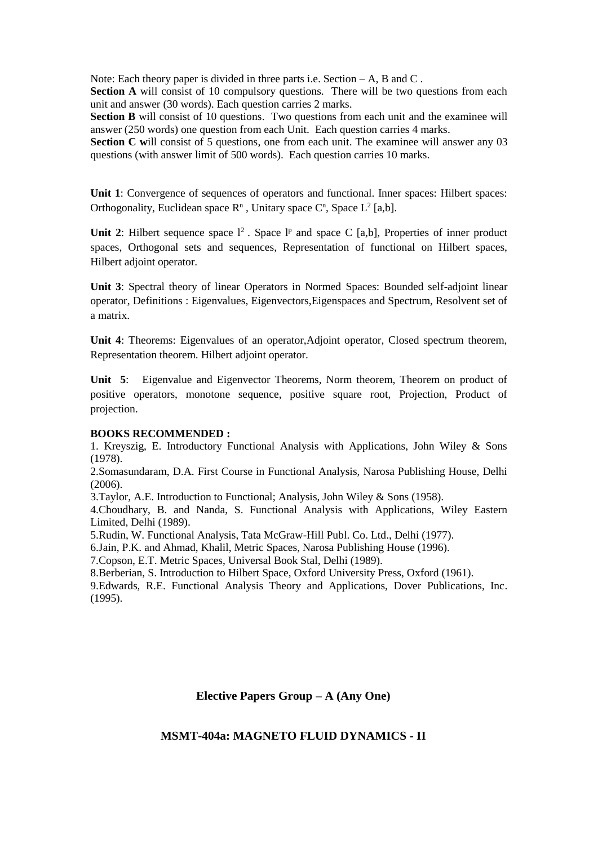**Section A** will consist of 10 compulsory questions. There will be two questions from each unit and answer (30 words). Each question carries 2 marks.

**Section B** will consist of 10 questions. Two questions from each unit and the examinee will answer (250 words) one question from each Unit. Each question carries 4 marks.

Section C will consist of 5 questions, one from each unit. The examinee will answer any 03 questions (with answer limit of 500 words). Each question carries 10 marks.

**Unit 1**: Convergence of sequences of operators and functional. Inner spaces: Hilbert spaces: Orthogonality, Euclidean space  $\mathbb{R}^n$ , Unitary space  $\mathbb{C}^n$ , Space  $\mathbb{L}^2$  [a,b].

Unit 2: Hilbert sequence space  $l^2$ . Space  $l^p$  and space C [a,b], Properties of inner product spaces, Orthogonal sets and sequences, Representation of functional on Hilbert spaces, Hilbert adjoint operator.

**Unit 3**: Spectral theory of linear Operators in Normed Spaces: Bounded self-adjoint linear operator, Definitions : Eigenvalues, Eigenvectors,Eigenspaces and Spectrum, Resolvent set of a matrix.

**Unit 4**: Theorems: Eigenvalues of an operator,Adjoint operator, Closed spectrum theorem, Representation theorem. Hilbert adjoint operator.

**Unit 5**: Eigenvalue and Eigenvector Theorems, Norm theorem, Theorem on product of positive operators, monotone sequence, positive square root, Projection, Product of projection.

#### **BOOKS RECOMMENDED :**

1. Kreyszig, E. Introductory Functional Analysis with Applications, John Wiley & Sons (1978).

2.Somasundaram, D.A. First Course in Functional Analysis, Narosa Publishing House, Delhi (2006).

3.Taylor, A.E. Introduction to Functional; Analysis, John Wiley & Sons (1958).

4.Choudhary, B. and Nanda, S. Functional Analysis with Applications, Wiley Eastern Limited, Delhi (1989).

5.Rudin, W. Functional Analysis, Tata McGraw-Hill Publ. Co. Ltd., Delhi (1977).

6.Jain, P.K. and Ahmad, Khalil, Metric Spaces, Narosa Publishing House (1996).

7.Copson, E.T. Metric Spaces, Universal Book Stal, Delhi (1989).

8.Berberian, S. Introduction to Hilbert Space, Oxford University Press, Oxford (1961).

9.Edwards, R.E. Functional Analysis Theory and Applications, Dover Publications, Inc. (1995).

#### **Elective Papers Group – A (Any One)**

#### **MSMT-404a: MAGNETO FLUID DYNAMICS - II**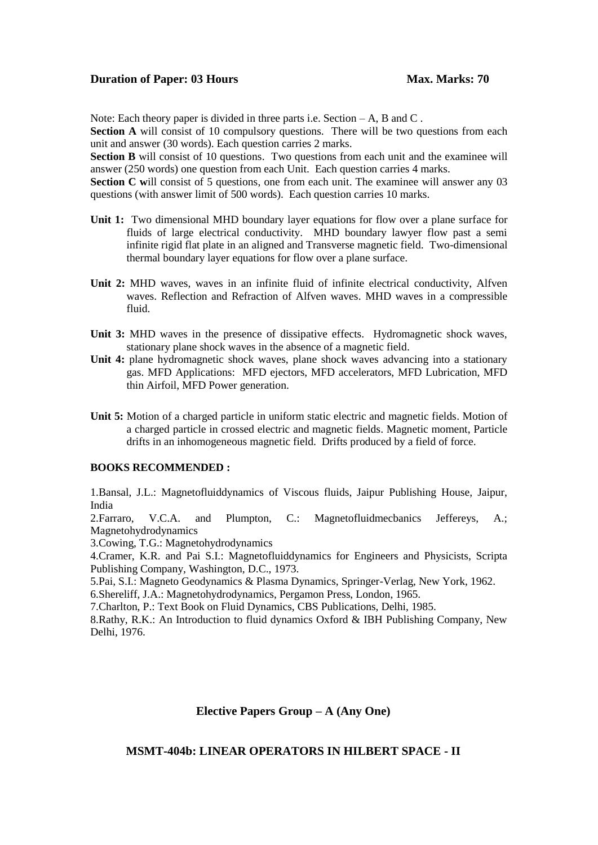Note: Each theory paper is divided in three parts i.e. Section – A, B and C.

**Section A** will consist of 10 compulsory questions. There will be two questions from each unit and answer (30 words). Each question carries 2 marks.

**Section B** will consist of 10 questions. Two questions from each unit and the examinee will answer (250 words) one question from each Unit. Each question carries 4 marks.

**Section C will consist of 5 questions, one from each unit. The examinee will answer any 03** questions (with answer limit of 500 words). Each question carries 10 marks.

- **Unit 1:** Two dimensional MHD boundary layer equations for flow over a plane surface for fluids of large electrical conductivity. MHD boundary lawyer flow past a semi infinite rigid flat plate in an aligned and Transverse magnetic field. Two-dimensional thermal boundary layer equations for flow over a plane surface.
- **Unit 2:** MHD waves, waves in an infinite fluid of infinite electrical conductivity, Alfven waves. Reflection and Refraction of Alfven waves. MHD waves in a compressible fluid.
- Unit 3: MHD waves in the presence of dissipative effects. Hydromagnetic shock waves, stationary plane shock waves in the absence of a magnetic field.
- **Unit 4:** plane hydromagnetic shock waves, plane shock waves advancing into a stationary gas. MFD Applications: MFD ejectors, MFD accelerators, MFD Lubrication, MFD thin Airfoil, MFD Power generation.
- **Unit 5:** Motion of a charged particle in uniform static electric and magnetic fields. Motion of a charged particle in crossed electric and magnetic fields. Magnetic moment, Particle drifts in an inhomogeneous magnetic field. Drifts produced by a field of force.

#### **BOOKS RECOMMENDED :**

1.Bansal, J.L.: Magnetofluiddynamics of Viscous fluids, Jaipur Publishing House, Jaipur, India

2.Farraro, V.C.A. and Plumpton, C.: Magnetofluidmecbanics Jeffereys, A.; Magnetohydrodynamics

3.Cowing, T.G.: Magnetohydrodynamics

4.Cramer, K.R. and Pai S.I.: Magnetofluiddynamics for Engineers and Physicists, Scripta Publishing Company, Washington, D.C., 1973.

5.Pai, S.I.: Magneto Geodynamics & Plasma Dynamics, Springer-Verlag, New York, 1962. 6.Shereliff, J.A.: Magnetohydrodynamics, Pergamon Press, London, 1965.

7.Charlton, P.: Text Book on Fluid Dynamics, CBS Publications, Delhi, 1985.

8.Rathy, R.K.: An Introduction to fluid dynamics Oxford & IBH Publishing Company, New Delhi, 1976.

#### **Elective Papers Group – A (Any One)**

#### **MSMT-404b: LINEAR OPERATORS IN HILBERT SPACE - II**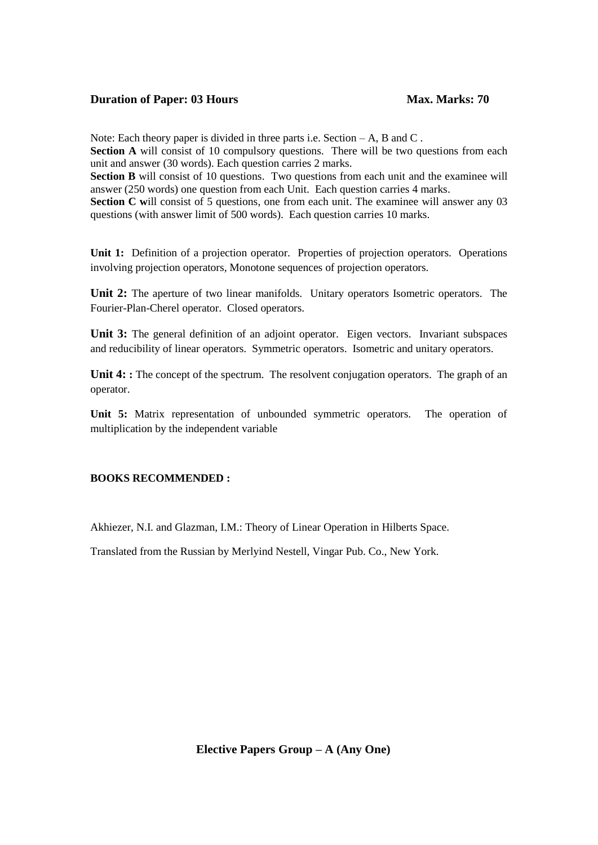Note: Each theory paper is divided in three parts i.e. Section – A, B and C. **Section A** will consist of 10 compulsory questions. There will be two questions from each unit and answer (30 words). Each question carries 2 marks.

**Section B** will consist of 10 questions. Two questions from each unit and the examinee will answer (250 words) one question from each Unit. Each question carries 4 marks.

**Section C** will consist of 5 questions, one from each unit. The examinee will answer any 03 questions (with answer limit of 500 words). Each question carries 10 marks.

**Unit 1:** Definition of a projection operator. Properties of projection operators. Operations involving projection operators, Monotone sequences of projection operators.

**Unit 2:** The aperture of two linear manifolds. Unitary operators Isometric operators. The Fourier-Plan-Cherel operator. Closed operators.

Unit 3: The general definition of an adjoint operator. Eigen vectors. Invariant subspaces and reducibility of linear operators. Symmetric operators. Isometric and unitary operators.

Unit 4: **:** The concept of the spectrum. The resolvent conjugation operators. The graph of an operator.

**Unit 5:** Matrix representation of unbounded symmetric operators. The operation of multiplication by the independent variable

#### **BOOKS RECOMMENDED :**

Akhiezer, N.I. and Glazman, I.M.: Theory of Linear Operation in Hilberts Space.

Translated from the Russian by Merlyind Nestell, Vingar Pub. Co., New York.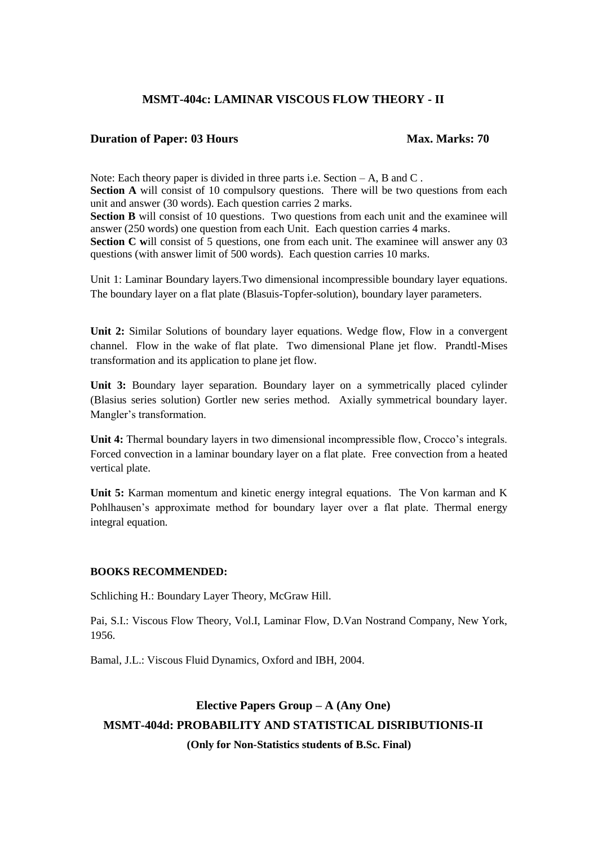### **MSMT-404c: LAMINAR VISCOUS FLOW THEORY - II**

#### **Duration of Paper: 03 Hours Max. Marks: 70**

Note: Each theory paper is divided in three parts i.e. Section – A, B and C. **Section A** will consist of 10 compulsory questions. There will be two questions from each unit and answer (30 words). Each question carries 2 marks. **Section B** will consist of 10 questions. Two questions from each unit and the examinee will answer (250 words) one question from each Unit. Each question carries 4 marks. **Section C** will consist of 5 questions, one from each unit. The examinee will answer any 03 questions (with answer limit of 500 words). Each question carries 10 marks.

Unit 1: Laminar Boundary layers.Two dimensional incompressible boundary layer equations. The boundary layer on a flat plate (Blasuis-Topfer-solution), boundary layer parameters.

**Unit 2:** Similar Solutions of boundary layer equations. Wedge flow, Flow in a convergent channel. Flow in the wake of flat plate. Two dimensional Plane jet flow. Prandtl-Mises transformation and its application to plane jet flow.

**Unit 3:** Boundary layer separation. Boundary layer on a symmetrically placed cylinder (Blasius series solution) Gortler new series method. Axially symmetrical boundary layer. Mangler's transformation.

**Unit 4:** Thermal boundary layers in two dimensional incompressible flow, Crocco's integrals. Forced convection in a laminar boundary layer on a flat plate. Free convection from a heated vertical plate.

**Unit 5:** Karman momentum and kinetic energy integral equations. The Von karman and K Pohlhausen's approximate method for boundary layer over a flat plate. Thermal energy integral equation.

#### **BOOKS RECOMMENDED:**

Schliching H.: Boundary Layer Theory, McGraw Hill.

Pai, S.I.: Viscous Flow Theory, Vol.I, Laminar Flow, D.Van Nostrand Company, New York, 1956.

Bamal, J.L.: Viscous Fluid Dynamics, Oxford and IBH, 2004.

# **Elective Papers Group – A (Any One) MSMT-404d: PROBABILITY AND STATISTICAL DISRIBUTIONIS-II (Only for Non-Statistics students of B.Sc. Final)**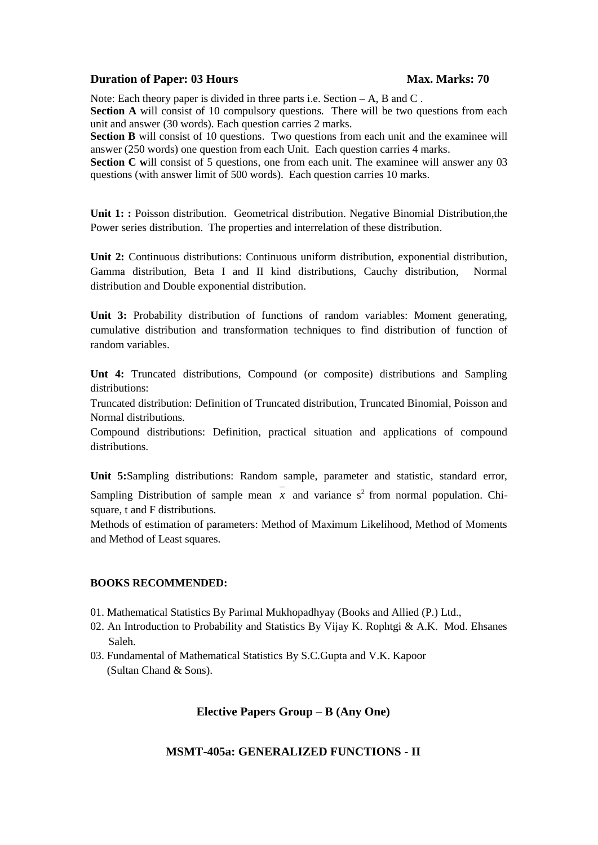Note: Each theory paper is divided in three parts i.e. Section  $-A$ , B and C.

**Section A** will consist of 10 compulsory questions. There will be two questions from each unit and answer (30 words). Each question carries 2 marks.

**Section B** will consist of 10 questions. Two questions from each unit and the examinee will answer (250 words) one question from each Unit. Each question carries 4 marks.

**Section C** will consist of 5 questions, one from each unit. The examinee will answer any 03 questions (with answer limit of 500 words). Each question carries 10 marks.

**Unit 1: :** Poisson distribution. Geometrical distribution. Negative Binomial Distribution,the Power series distribution. The properties and interrelation of these distribution.

**Unit 2:** Continuous distributions: Continuous uniform distribution, exponential distribution, Gamma distribution, Beta I and II kind distributions, Cauchy distribution, Normal distribution and Double exponential distribution.

**Unit 3:** Probability distribution of functions of random variables: Moment generating, cumulative distribution and transformation techniques to find distribution of function of random variables.

**Unt 4:** Truncated distributions, Compound (or composite) distributions and Sampling distributions:

Truncated distribution: Definition of Truncated distribution, Truncated Binomial, Poisson and Normal distributions.

Compound distributions: Definition, practical situation and applications of compound distributions.

**Unit 5:**Sampling distributions: Random sample, parameter and statistic, standard error, Sampling Distribution of sample mean  $x$  and variance  $s^2$  from normal population. Chisquare, t and F distributions.

Methods of estimation of parameters: Method of Maximum Likelihood, Method of Moments and Method of Least squares.

#### **BOOKS RECOMMENDED:**

- 01. Mathematical Statistics By Parimal Mukhopadhyay (Books and Allied (P.) Ltd.,
- 02. An Introduction to Probability and Statistics By Vijay K. Rophtgi & A.K. Mod. Ehsanes Saleh.
- 03. Fundamental of Mathematical Statistics By S.C.Gupta and V.K. Kapoor (Sultan Chand & Sons).

#### **Elective Papers Group – B (Any One)**

#### **MSMT-405a: GENERALIZED FUNCTIONS - II**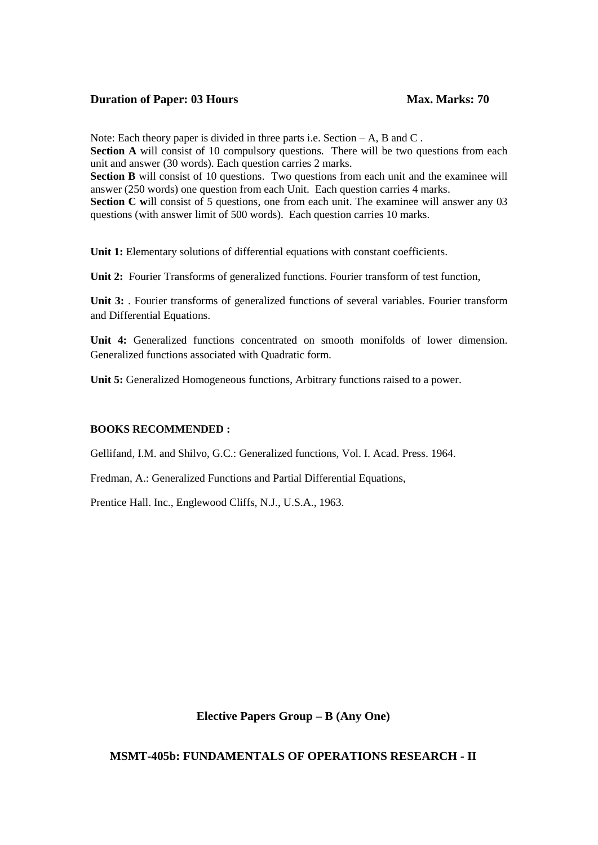Note: Each theory paper is divided in three parts i.e. Section – A, B and C. **Section A** will consist of 10 compulsory questions. There will be two questions from each unit and answer (30 words). Each question carries 2 marks. **Section B** will consist of 10 questions. Two questions from each unit and the examinee will answer (250 words) one question from each Unit. Each question carries 4 marks. **Section C** will consist of 5 questions, one from each unit. The examinee will answer any 03 questions (with answer limit of 500 words). Each question carries 10 marks.

**Unit 1:** Elementary solutions of differential equations with constant coefficients.

**Unit 2:** Fourier Transforms of generalized functions. Fourier transform of test function,

Unit 3: Pourier transforms of generalized functions of several variables. Fourier transform and Differential Equations.

**Unit 4:** Generalized functions concentrated on smooth monifolds of lower dimension. Generalized functions associated with Quadratic form.

**Unit 5:** Generalized Homogeneous functions, Arbitrary functions raised to a power.

#### **BOOKS RECOMMENDED :**

Gellifand, I.M. and Shilvo, G.C.: Generalized functions, Vol. I. Acad. Press. 1964.

Fredman, A.: Generalized Functions and Partial Differential Equations,

Prentice Hall. Inc., Englewood Cliffs, N.J., U.S.A., 1963.

#### **Elective Papers Group – B (Any One)**

#### **MSMT-405b: FUNDAMENTALS OF OPERATIONS RESEARCH - II**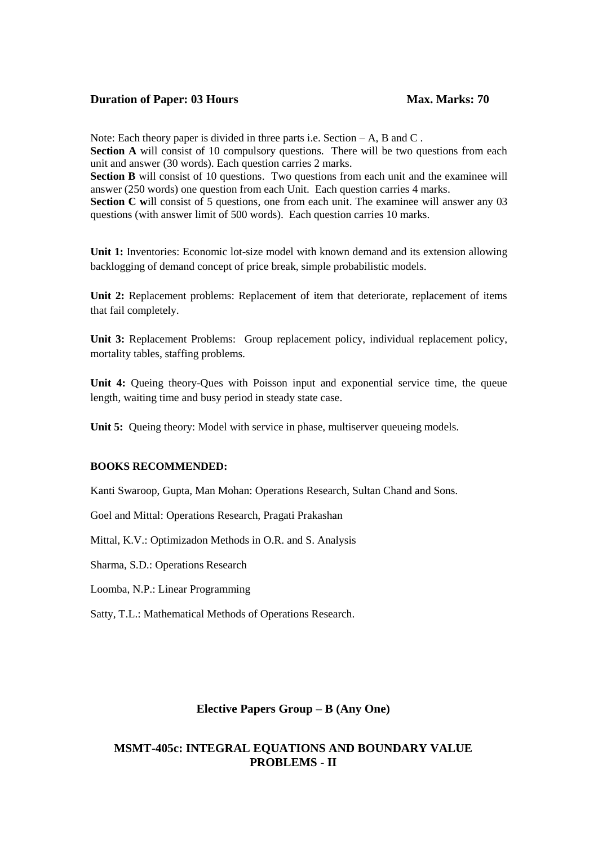Note: Each theory paper is divided in three parts i.e. Section – A, B and C. **Section A** will consist of 10 compulsory questions. There will be two questions from each unit and answer (30 words). Each question carries 2 marks. **Section B** will consist of 10 questions. Two questions from each unit and the examinee will answer (250 words) one question from each Unit. Each question carries 4 marks. **Section C** will consist of 5 questions, one from each unit. The examinee will answer any 03 questions (with answer limit of 500 words). Each question carries 10 marks.

Unit 1: Inventories: Economic lot-size model with known demand and its extension allowing backlogging of demand concept of price break, simple probabilistic models.

**Unit 2:** Replacement problems: Replacement of item that deteriorate, replacement of items that fail completely.

**Unit 3:** Replacement Problems: Group replacement policy, individual replacement policy, mortality tables, staffing problems.

Unit 4: Oueing theory-Oues with Poisson input and exponential service time, the queue length, waiting time and busy period in steady state case.

Unit 5: Queing theory: Model with service in phase, multiserver queueing models.

#### **BOOKS RECOMMENDED:**

Kanti Swaroop, Gupta, Man Mohan: Operations Research, Sultan Chand and Sons.

Goel and Mittal: Operations Research, Pragati Prakashan

Mittal, K.V.: Optimizadon Methods in O.R. and S. Analysis

Sharma, S.D.: Operations Research

Loomba, N.P.: Linear Programming

Satty, T.L.: Mathematical Methods of Operations Research.

#### **Elective Papers Group – B (Any One)**

#### **MSMT-405c: INTEGRAL EQUATIONS AND BOUNDARY VALUE PROBLEMS - II**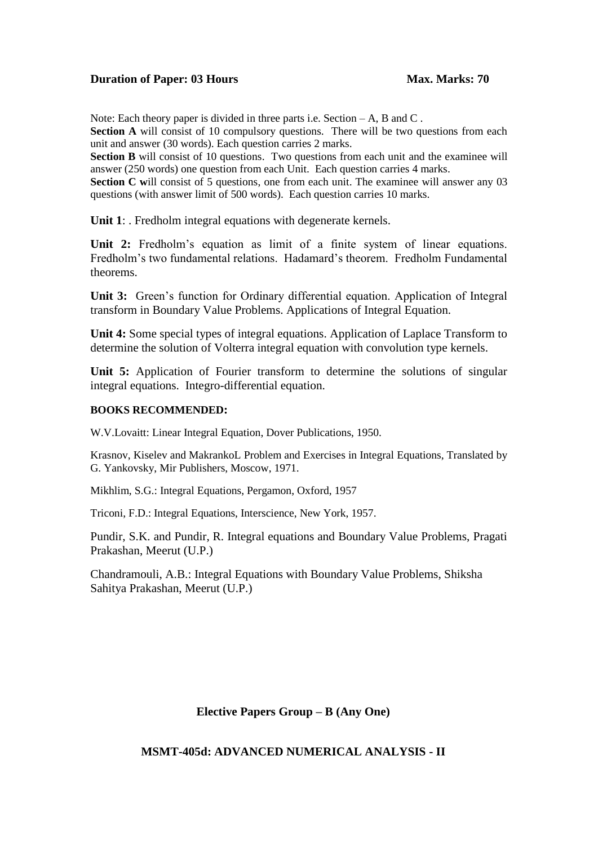Note: Each theory paper is divided in three parts i.e. Section – A, B and C.

**Section A** will consist of 10 compulsory questions. There will be two questions from each unit and answer (30 words). Each question carries 2 marks.

**Section B** will consist of 10 questions. Two questions from each unit and the examinee will answer (250 words) one question from each Unit. Each question carries 4 marks.

**Section C** will consist of 5 questions, one from each unit. The examinee will answer any 03 questions (with answer limit of 500 words). Each question carries 10 marks.

**Unit 1**: . Fredholm integral equations with degenerate kernels.

Unit 2: Fredholm's equation as limit of a finite system of linear equations. Fredholm's two fundamental relations. Hadamard's theorem. Fredholm Fundamental theorems.

**Unit 3:** Green's function for Ordinary differential equation. Application of Integral transform in Boundary Value Problems. Applications of Integral Equation.

**Unit 4:** Some special types of integral equations. Application of Laplace Transform to determine the solution of Volterra integral equation with convolution type kernels.

**Unit 5:** Application of Fourier transform to determine the solutions of singular integral equations. Integro-differential equation.

#### **BOOKS RECOMMENDED:**

W.V.Lovaitt: Linear Integral Equation, Dover Publications, 1950.

Krasnov, Kiselev and MakrankoL Problem and Exercises in Integral Equations, Translated by G. Yankovsky, Mir Publishers, Moscow, 1971.

Mikhlim, S.G.: Integral Equations, Pergamon, Oxford, 1957

Triconi, F.D.: Integral Equations, Interscience, New York, 1957.

Pundir, S.K. and Pundir, R. Integral equations and Boundary Value Problems, Pragati Prakashan, Meerut (U.P.)

Chandramouli, A.B.: Integral Equations with Boundary Value Problems, Shiksha Sahitya Prakashan, Meerut (U.P.)

#### **Elective Papers Group – B (Any One)**

#### **MSMT-405d: ADVANCED NUMERICAL ANALYSIS - II**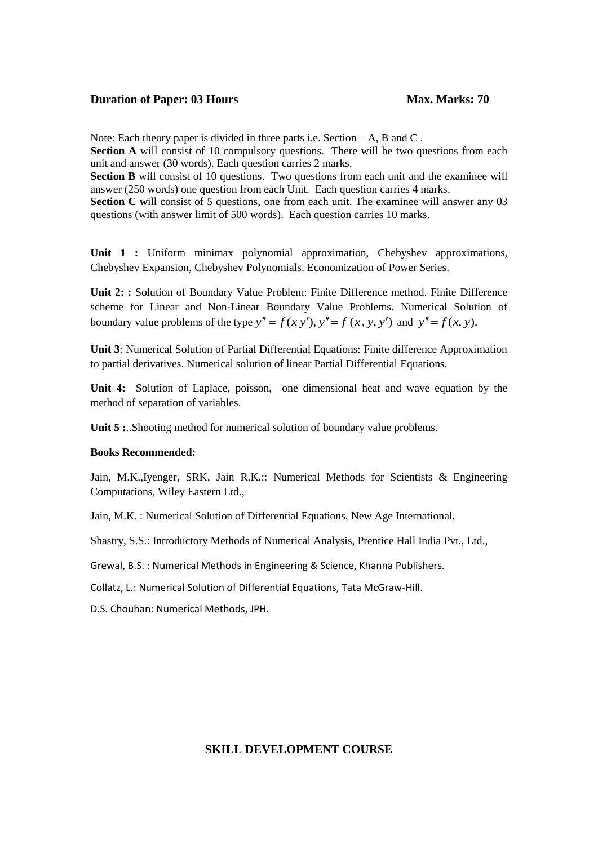Note: Each theory paper is divided in three parts i.e. Section – A, B and C.

**Section A** will consist of 10 compulsory questions. There will be two questions from each unit and answer (30 words). Each question carries 2 marks.

**Section B** will consist of 10 questions. Two questions from each unit and the examinee will answer (250 words) one question from each Unit. Each question carries 4 marks.

**Section C** will consist of 5 questions, one from each unit. The examinee will answer any 03 questions (with answer limit of 500 words). Each question carries 10 marks.

**Unit 1 :** Uniform minimax polynomial approximation, Chebyshev approximations, Chebyshev Expansion, Chebyshev Polynomials. Economization of Power Series.

**Unit 2: :** Solution of Boundary Value Problem: Finite Difference method. Finite Difference scheme for Linear and Non-Linear Boundary Value Problems. Numerical Solution of boundary value problems of the type  $y'' = f(x, y')$ ,  $y'' = f(x, y, y')$  and  $y'' = f(x, y)$ .

**Unit 3**: Numerical Solution of Partial Differential Equations: Finite difference Approximation to partial derivatives. Numerical solution of linear Partial Differential Equations.

**Unit 4:** Solution of Laplace, poisson, one dimensional heat and wave equation by the method of separation of variables.

Unit 5 :..Shooting method for numerical solution of boundary value problems.

#### **Books Recommended:**

Jain, M.K.,Iyenger, SRK, Jain R.K.:: Numerical Methods for Scientists & Engineering Computations, Wiley Eastern Ltd.,

Jain, M.K. : Numerical Solution of Differential Equations, New Age International.

Shastry, S.S.: Introductory Methods of Numerical Analysis, Prentice Hall India Pvt., Ltd.,

Grewal, B.S. : Numerical Methods in Engineering & Science, Khanna Publishers.

Collatz, L.: Numerical Solution of Differential Equations, Tata McGraw-Hill.

D.S. Chouhan: Numerical Methods, JPH.

#### **SKILL DEVELOPMENT COURSE**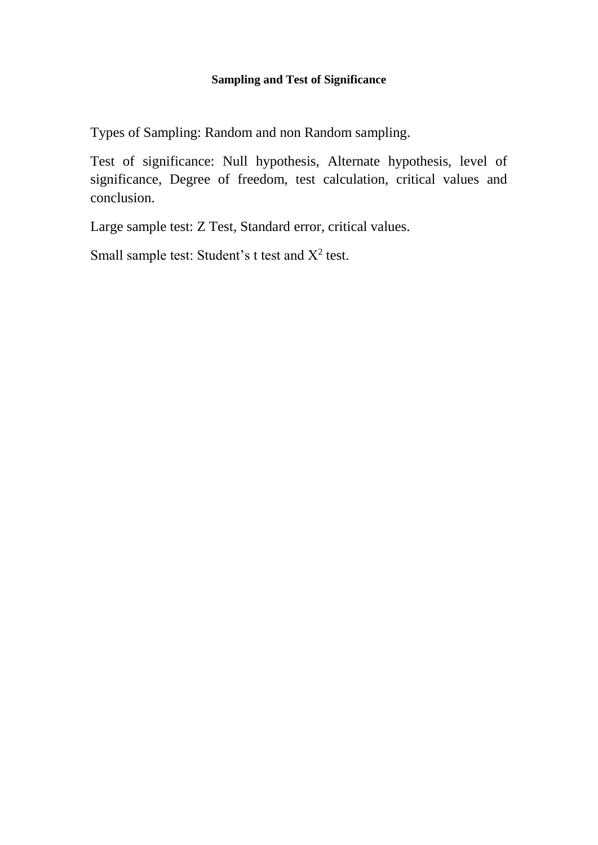## **Sampling and Test of Significance**

Types of Sampling: Random and non Random sampling.

Test of significance: Null hypothesis, Alternate hypothesis, level of significance, Degree of freedom, test calculation, critical values and conclusion.

Large sample test: Z Test, Standard error, critical values.

Small sample test: Student's  $t$  test and  $X^2$  test.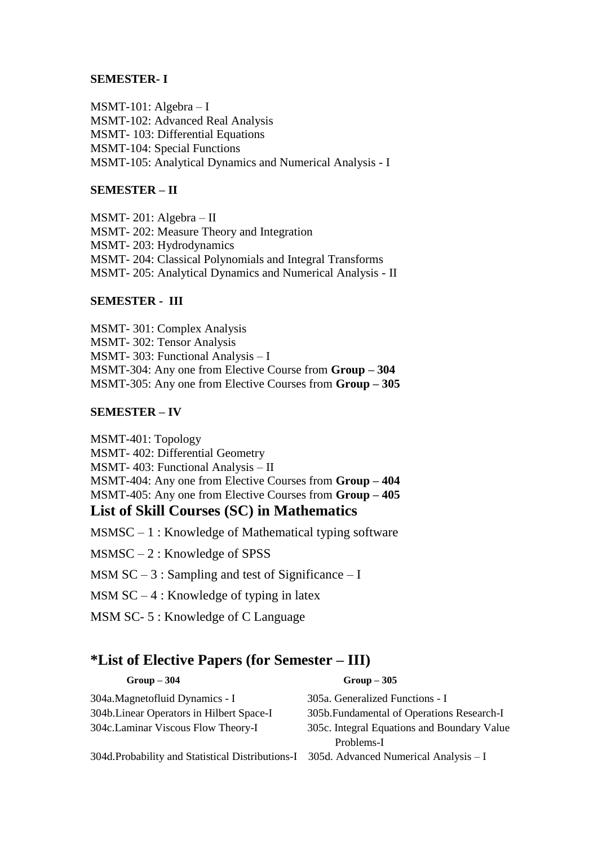#### **SEMESTER- I**

MSMT-101: Algebra – I MSMT-102: Advanced Real Analysis MSMT- 103: Differential Equations MSMT-104: Special Functions MSMT-105: Analytical Dynamics and Numerical Analysis - I

### **SEMESTER – II**

MSMT- 201: Algebra – II MSMT- 202: Measure Theory and Integration MSMT- 203: Hydrodynamics MSMT- 204: Classical Polynomials and Integral Transforms MSMT- 205: Analytical Dynamics and Numerical Analysis - II

### **SEMESTER - III**

MSMT- 301: Complex Analysis MSMT- 302: Tensor Analysis MSMT- 303: Functional Analysis – I MSMT-304: Any one from Elective Course from **Group – 304** MSMT-305: Any one from Elective Courses from **Group – 305**

### **SEMESTER – IV**

MSMT-401: Topology MSMT- 402: Differential Geometry MSMT- 403: Functional Analysis – II MSMT-404: Any one from Elective Courses from **Group – 404** MSMT-405: Any one from Elective Courses from **Group – 405 List of Skill Courses (SC) in Mathematics**

 $MSMSC - 1$ : Knowledge of Mathematical typing software

MSMSC – 2 : Knowledge of SPSS

MSM  $SC - 3$ : Sampling and test of Significance – I

MSM  $SC - 4$ : Knowledge of typing in latex

MSM SC- 5 : Knowledge of C Language

# **\*List of Elective Papers (for Semester – III)**

| $Group-304$                                       | $Group-305$                                 |
|---------------------------------------------------|---------------------------------------------|
| 304a.Magnetofluid Dynamics - I                    | 305a. Generalized Functions - I             |
| 304b. Linear Operators in Hilbert Space-I         | 305b. Fundamental of Operations Research-I  |
| 304c.Laminar Viscous Flow Theory-I                | 305c. Integral Equations and Boundary Value |
|                                                   | Problems-I                                  |
| 304d. Probability and Statistical Distributions-I | 305d. Advanced Numerical Analysis $-I$      |